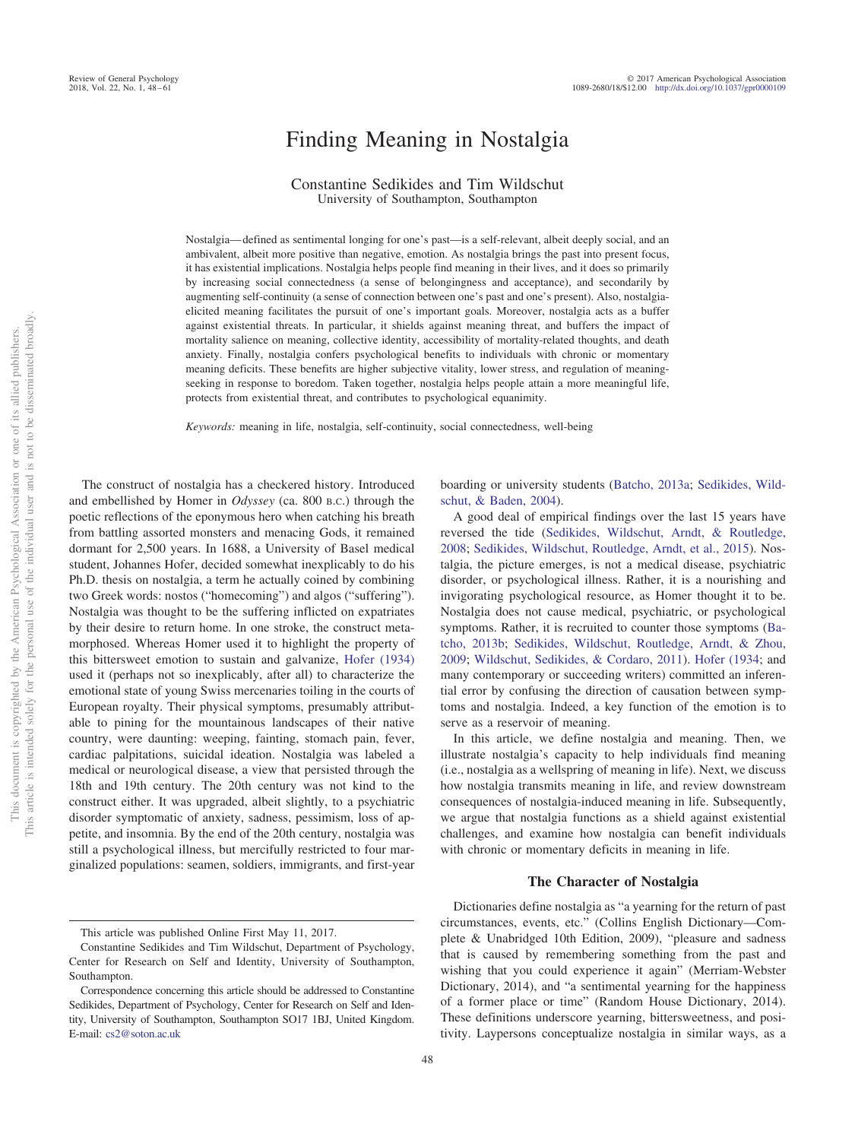# Finding Meaning in Nostalgia

# Constantine Sedikides and Tim Wildschut University of Southampton, Southampton

Nostalgia— defined as sentimental longing for one's past—is a self-relevant, albeit deeply social, and an ambivalent, albeit more positive than negative, emotion. As nostalgia brings the past into present focus, it has existential implications. Nostalgia helps people find meaning in their lives, and it does so primarily by increasing social connectedness (a sense of belongingness and acceptance), and secondarily by augmenting self-continuity (a sense of connection between one's past and one's present). Also, nostalgiaelicited meaning facilitates the pursuit of one's important goals. Moreover, nostalgia acts as a buffer against existential threats. In particular, it shields against meaning threat, and buffers the impact of mortality salience on meaning, collective identity, accessibility of mortality-related thoughts, and death anxiety. Finally, nostalgia confers psychological benefits to individuals with chronic or momentary meaning deficits. These benefits are higher subjective vitality, lower stress, and regulation of meaningseeking in response to boredom. Taken together, nostalgia helps people attain a more meaningful life, protects from existential threat, and contributes to psychological equanimity.

*Keywords:* meaning in life, nostalgia, self-continuity, social connectedness, well-being

The construct of nostalgia has a checkered history. Introduced and embellished by Homer in *Odyssey* (ca. 800 B.C.) through the poetic reflections of the eponymous hero when catching his breath from battling assorted monsters and menacing Gods, it remained dormant for 2,500 years. In 1688, a University of Basel medical student, Johannes Hofer, decided somewhat inexplicably to do his Ph.D. thesis on nostalgia, a term he actually coined by combining two Greek words: nostos ("homecoming") and algos ("suffering"). Nostalgia was thought to be the suffering inflicted on expatriates by their desire to return home. In one stroke, the construct metamorphosed. Whereas Homer used it to highlight the property of this bittersweet emotion to sustain and galvanize, [Hofer \(1934\)](#page-10-0) used it (perhaps not so inexplicably, after all) to characterize the emotional state of young Swiss mercenaries toiling in the courts of European royalty. Their physical symptoms, presumably attributable to pining for the mountainous landscapes of their native country, were daunting: weeping, fainting, stomach pain, fever, cardiac palpitations, suicidal ideation. Nostalgia was labeled a medical or neurological disease, a view that persisted through the 18th and 19th century. The 20th century was not kind to the construct either. It was upgraded, albeit slightly, to a psychiatric disorder symptomatic of anxiety, sadness, pessimism, loss of appetite, and insomnia. By the end of the 20th century, nostalgia was still a psychological illness, but mercifully restricted to four marginalized populations: seamen, soldiers, immigrants, and first-year boarding or university students [\(Batcho, 2013a;](#page-9-0) [Sedikides, Wild](#page-11-0)[schut, & Baden, 2004\)](#page-11-0).

A good deal of empirical findings over the last 15 years have reversed the tide [\(Sedikides, Wildschut, Arndt, & Routledge,](#page-11-1) [2008;](#page-11-1) [Sedikides, Wildschut, Routledge, Arndt, et al., 2015\)](#page-12-0). Nostalgia, the picture emerges, is not a medical disease, psychiatric disorder, or psychological illness. Rather, it is a nourishing and invigorating psychological resource, as Homer thought it to be. Nostalgia does not cause medical, psychiatric, or psychological symptoms. Rather, it is recruited to counter those symptoms [\(Ba](#page-9-1)[tcho, 2013b;](#page-9-1) [Sedikides, Wildschut, Routledge, Arndt, & Zhou,](#page-12-1) [2009;](#page-12-1) [Wildschut, Sedikides, & Cordaro, 2011\)](#page-12-2). [Hofer \(1934;](#page-10-0) and many contemporary or succeeding writers) committed an inferential error by confusing the direction of causation between symptoms and nostalgia. Indeed, a key function of the emotion is to serve as a reservoir of meaning.

In this article, we define nostalgia and meaning. Then, we illustrate nostalgia's capacity to help individuals find meaning (i.e., nostalgia as a wellspring of meaning in life). Next, we discuss how nostalgia transmits meaning in life, and review downstream consequences of nostalgia-induced meaning in life. Subsequently, we argue that nostalgia functions as a shield against existential challenges, and examine how nostalgia can benefit individuals with chronic or momentary deficits in meaning in life.

### **The Character of Nostalgia**

Dictionaries define nostalgia as "a yearning for the return of past circumstances, events, etc." (Collins English Dictionary—Complete & Unabridged 10th Edition, 2009), "pleasure and sadness that is caused by remembering something from the past and wishing that you could experience it again" (Merriam-Webster Dictionary, 2014), and "a sentimental yearning for the happiness of a former place or time" (Random House Dictionary, 2014). These definitions underscore yearning, bittersweetness, and positivity. Laypersons conceptualize nostalgia in similar ways, as a

This article was published Online First May 11, 2017.

Constantine Sedikides and Tim Wildschut, Department of Psychology, Center for Research on Self and Identity, University of Southampton, Southampton.

Correspondence concerning this article should be addressed to Constantine Sedikides, Department of Psychology, Center for Research on Self and Identity, University of Southampton, Southampton SO17 1BJ, United Kingdom. E-mail: [cs2@soton.ac.uk](mailto:cs2@soton.ac.uk)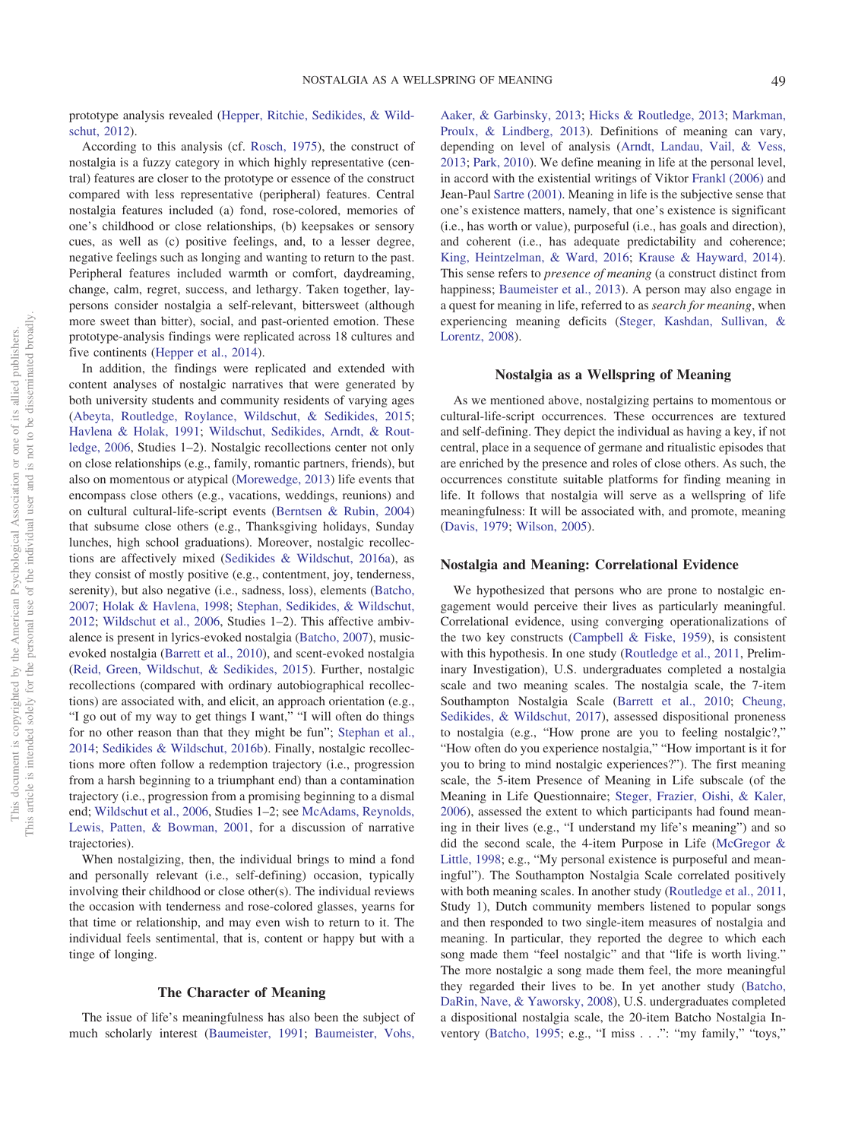prototype analysis revealed [\(Hepper, Ritchie, Sedikides, & Wild](#page-10-1)[schut, 2012\)](#page-10-1).

According to this analysis (cf. [Rosch, 1975\)](#page-11-2), the construct of nostalgia is a fuzzy category in which highly representative (central) features are closer to the prototype or essence of the construct compared with less representative (peripheral) features. Central nostalgia features included (a) fond, rose-colored, memories of one's childhood or close relationships, (b) keepsakes or sensory cues, as well as (c) positive feelings, and, to a lesser degree, negative feelings such as longing and wanting to return to the past. Peripheral features included warmth or comfort, daydreaming, change, calm, regret, success, and lethargy. Taken together, laypersons consider nostalgia a self-relevant, bittersweet (although more sweet than bitter), social, and past-oriented emotion. These prototype-analysis findings were replicated across 18 cultures and five continents [\(Hepper et al., 2014\)](#page-10-2).

In addition, the findings were replicated and extended with content analyses of nostalgic narratives that were generated by both university students and community residents of varying ages [\(Abeyta, Routledge, Roylance, Wildschut, & Sedikides, 2015;](#page-9-2) [Havlena & Holak, 1991;](#page-10-3) [Wildschut, Sedikides, Arndt, & Rout](#page-12-3)[ledge, 2006,](#page-12-3) Studies 1–2). Nostalgic recollections center not only on close relationships (e.g., family, romantic partners, friends), but also on momentous or atypical [\(Morewedge, 2013\)](#page-11-3) life events that encompass close others (e.g., vacations, weddings, reunions) and on cultural cultural-life-script events [\(Berntsen & Rubin, 2004\)](#page-9-3) that subsume close others (e.g., Thanksgiving holidays, Sunday lunches, high school graduations). Moreover, nostalgic recollections are affectively mixed [\(Sedikides & Wildschut, 2016a\)](#page-11-4), as they consist of mostly positive (e.g., contentment, joy, tenderness, serenity), but also negative (i.e., sadness, loss), elements [\(Batcho,](#page-9-4) [2007;](#page-9-4) [Holak & Havlena, 1998;](#page-10-4) [Stephan, Sedikides, & Wildschut,](#page-12-4) [2012;](#page-12-4) [Wildschut et al., 2006,](#page-12-3) Studies 1–2). This affective ambivalence is present in lyrics-evoked nostalgia [\(Batcho, 2007\)](#page-9-4), musicevoked nostalgia [\(Barrett et al., 2010\)](#page-9-5), and scent-evoked nostalgia [\(Reid, Green, Wildschut, & Sedikides, 2015\)](#page-11-5). Further, nostalgic recollections (compared with ordinary autobiographical recollections) are associated with, and elicit, an approach orientation (e.g., "I go out of my way to get things I want," "I will often do things for no other reason than that they might be fun"; [Stephan et al.,](#page-12-5) [2014;](#page-12-5) [Sedikides & Wildschut, 2016b\)](#page-11-6). Finally, nostalgic recollections more often follow a redemption trajectory (i.e., progression from a harsh beginning to a triumphant end) than a contamination trajectory (i.e., progression from a promising beginning to a dismal end; [Wildschut et al., 2006,](#page-12-3) Studies 1–2; see [McAdams, Reynolds,](#page-11-7) [Lewis, Patten, & Bowman, 2001,](#page-11-7) for a discussion of narrative trajectories).

When nostalgizing, then, the individual brings to mind a fond and personally relevant (i.e., self-defining) occasion, typically involving their childhood or close other(s). The individual reviews the occasion with tenderness and rose-colored glasses, yearns for that time or relationship, and may even wish to return to it. The individual feels sentimental, that is, content or happy but with a tinge of longing.

### **The Character of Meaning**

The issue of life's meaningfulness has also been the subject of much scholarly interest [\(Baumeister, 1991;](#page-9-6) [Baumeister, Vohs,](#page-9-7)

[Aaker, & Garbinsky, 2013;](#page-9-7) [Hicks & Routledge, 2013;](#page-10-5) [Markman,](#page-10-6) [Proulx, & Lindberg, 2013\)](#page-10-6). Definitions of meaning can vary, depending on level of analysis [\(Arndt, Landau, Vail, & Vess,](#page-9-8) [2013;](#page-9-8) [Park, 2010\)](#page-11-8). We define meaning in life at the personal level, in accord with the existential writings of Viktor [Frankl \(2006\)](#page-10-7) and Jean-Paul [Sartre \(2001\).](#page-11-9) Meaning in life is the subjective sense that one's existence matters, namely, that one's existence is significant (i.e., has worth or value), purposeful (i.e., has goals and direction), and coherent (i.e., has adequate predictability and coherence; [King, Heintzelman, & Ward, 2016;](#page-10-8) [Krause & Hayward, 2014\)](#page-10-9). This sense refers to *presence of meaning* (a construct distinct from happiness; [Baumeister et al., 2013\)](#page-9-7). A person may also engage in a quest for meaning in life, referred to as *search for meaning*, when experiencing meaning deficits [\(Steger, Kashdan, Sullivan, &](#page-12-6) [Lorentz, 2008\)](#page-12-6).

#### **Nostalgia as a Wellspring of Meaning**

As we mentioned above, nostalgizing pertains to momentous or cultural-life-script occurrences. These occurrences are textured and self-defining. They depict the individual as having a key, if not central, place in a sequence of germane and ritualistic episodes that are enriched by the presence and roles of close others. As such, the occurrences constitute suitable platforms for finding meaning in life. It follows that nostalgia will serve as a wellspring of life meaningfulness: It will be associated with, and promote, meaning [\(Davis, 1979;](#page-9-9) [Wilson, 2005\)](#page-12-7).

#### **Nostalgia and Meaning: Correlational Evidence**

We hypothesized that persons who are prone to nostalgic engagement would perceive their lives as particularly meaningful. Correlational evidence, using converging operationalizations of the two key constructs [\(Campbell & Fiske, 1959\)](#page-9-10), is consistent with this hypothesis. In one study [\(Routledge et al., 2011,](#page-11-10) Preliminary Investigation), U.S. undergraduates completed a nostalgia scale and two meaning scales. The nostalgia scale, the 7-item Southampton Nostalgia Scale [\(Barrett et al., 2010;](#page-9-5) [Cheung,](#page-9-11) [Sedikides, & Wildschut, 2017\)](#page-9-11), assessed dispositional proneness to nostalgia (e.g., "How prone are you to feeling nostalgic?," "How often do you experience nostalgia," "How important is it for you to bring to mind nostalgic experiences?"). The first meaning scale, the 5-item Presence of Meaning in Life subscale (of the Meaning in Life Questionnaire; [Steger, Frazier, Oishi, & Kaler,](#page-12-8) [2006\)](#page-12-8), assessed the extent to which participants had found meaning in their lives (e.g., "I understand my life's meaning") and so did the second scale, the 4-item Purpose in Life [\(McGregor &](#page-11-11) [Little, 1998;](#page-11-11) e.g., "My personal existence is purposeful and meaningful"). The Southampton Nostalgia Scale correlated positively with both meaning scales. In another study [\(Routledge et al., 2011,](#page-11-10) Study 1), Dutch community members listened to popular songs and then responded to two single-item measures of nostalgia and meaning. In particular, they reported the degree to which each song made them "feel nostalgic" and that "life is worth living." The more nostalgic a song made them feel, the more meaningful they regarded their lives to be. In yet another study [\(Batcho,](#page-9-12) [DaRin, Nave, & Yaworsky, 2008\)](#page-9-12), U.S. undergraduates completed a dispositional nostalgia scale, the 20-item Batcho Nostalgia Inventory [\(Batcho, 1995;](#page-9-13) e.g., "I miss . . .": "my family," "toys,"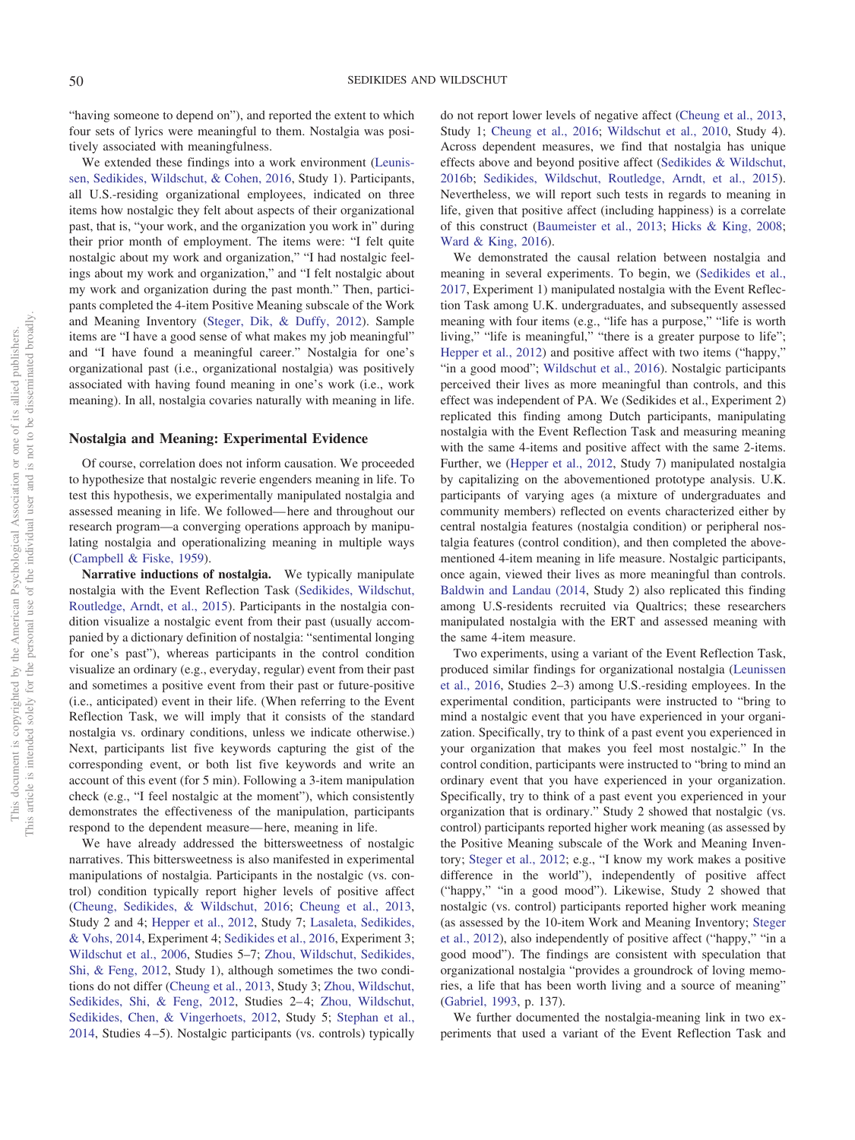"having someone to depend on"), and reported the extent to which four sets of lyrics were meaningful to them. Nostalgia was positively associated with meaningfulness.

We extended these findings into a work environment [\(Leunis](#page-10-10)[sen, Sedikides, Wildschut, & Cohen, 2016,](#page-10-10) Study 1). Participants, all U.S.-residing organizational employees, indicated on three items how nostalgic they felt about aspects of their organizational past, that is, "your work, and the organization you work in" during their prior month of employment. The items were: "I felt quite nostalgic about my work and organization," "I had nostalgic feelings about my work and organization," and "I felt nostalgic about my work and organization during the past month." Then, participants completed the 4-item Positive Meaning subscale of the Work and Meaning Inventory [\(Steger, Dik, & Duffy, 2012\)](#page-12-9). Sample items are "I have a good sense of what makes my job meaningful" and "I have found a meaningful career." Nostalgia for one's organizational past (i.e., organizational nostalgia) was positively associated with having found meaning in one's work (i.e., work meaning). In all, nostalgia covaries naturally with meaning in life.

#### **Nostalgia and Meaning: Experimental Evidence**

Of course, correlation does not inform causation. We proceeded to hypothesize that nostalgic reverie engenders meaning in life. To test this hypothesis, we experimentally manipulated nostalgia and assessed meaning in life. We followed— here and throughout our research program—a converging operations approach by manipulating nostalgia and operationalizing meaning in multiple ways [\(Campbell & Fiske, 1959\)](#page-9-10).

**Narrative inductions of nostalgia.** We typically manipulate nostalgia with the Event Reflection Task [\(Sedikides, Wildschut,](#page-12-0) [Routledge, Arndt, et al., 2015\)](#page-12-0). Participants in the nostalgia condition visualize a nostalgic event from their past (usually accompanied by a dictionary definition of nostalgia: "sentimental longing for one's past"), whereas participants in the control condition visualize an ordinary (e.g., everyday, regular) event from their past and sometimes a positive event from their past or future-positive (i.e., anticipated) event in their life. (When referring to the Event Reflection Task, we will imply that it consists of the standard nostalgia vs. ordinary conditions, unless we indicate otherwise.) Next, participants list five keywords capturing the gist of the corresponding event, or both list five keywords and write an account of this event (for 5 min). Following a 3-item manipulation check (e.g., "I feel nostalgic at the moment"), which consistently demonstrates the effectiveness of the manipulation, participants respond to the dependent measure— here, meaning in life.

We have already addressed the bittersweetness of nostalgic narratives. This bittersweetness is also manifested in experimental manipulations of nostalgia. Participants in the nostalgic (vs. control) condition typically report higher levels of positive affect [\(Cheung, Sedikides, & Wildschut, 2016;](#page-9-14) [Cheung et al., 2013,](#page-9-15) Study 2 and 4; [Hepper et al., 2012,](#page-10-1) Study 7; [Lasaleta, Sedikides,](#page-10-11) [& Vohs, 2014,](#page-10-11) Experiment 4; [Sedikides et al., 2016,](#page-11-12) Experiment 3; [Wildschut et al., 2006,](#page-12-3) Studies 5–7; [Zhou, Wildschut, Sedikides,](#page-13-0) [Shi, & Feng, 2012,](#page-13-0) Study 1), although sometimes the two conditions do not differ [\(Cheung et al., 2013,](#page-9-15) Study 3; [Zhou, Wildschut,](#page-13-0) [Sedikides, Shi, & Feng, 2012,](#page-13-0) Studies 2– 4; [Zhou, Wildschut,](#page-13-0) [Sedikides, Chen, & Vingerhoets, 2012,](#page-13-0) Study 5; [Stephan et al.,](#page-12-5) [2014,](#page-12-5) Studies 4 –5). Nostalgic participants (vs. controls) typically do not report lower levels of negative affect [\(Cheung et al., 2013,](#page-9-15) Study 1; [Cheung et al., 2016;](#page-9-14) [Wildschut et al., 2010,](#page-12-10) Study 4). Across dependent measures, we find that nostalgia has unique effects above and beyond positive affect [\(Sedikides & Wildschut,](#page-11-6) [2016b;](#page-11-6) [Sedikides, Wildschut, Routledge, Arndt, et al., 2015\)](#page-12-0). Nevertheless, we will report such tests in regards to meaning in life, given that positive affect (including happiness) is a correlate of this construct [\(Baumeister et al., 2013;](#page-9-7) [Hicks & King, 2008;](#page-10-12) [Ward & King, 2016\)](#page-12-11).

We demonstrated the causal relation between nostalgia and meaning in several experiments. To begin, we [\(Sedikides et al.,](#page-11-13) [2017,](#page-11-13) Experiment 1) manipulated nostalgia with the Event Reflection Task among U.K. undergraduates, and subsequently assessed meaning with four items (e.g., "life has a purpose," "life is worth living," "life is meaningful," "there is a greater purpose to life"; [Hepper et al., 2012\)](#page-10-1) and positive affect with two items ("happy," "in a good mood"; [Wildschut et al., 2016\)](#page-12-12). Nostalgic participants perceived their lives as more meaningful than controls, and this effect was independent of PA. We (Sedikides et al., Experiment 2) replicated this finding among Dutch participants, manipulating nostalgia with the Event Reflection Task and measuring meaning with the same 4-items and positive affect with the same 2-items. Further, we [\(Hepper et al., 2012,](#page-10-1) Study 7) manipulated nostalgia by capitalizing on the abovementioned prototype analysis. U.K. participants of varying ages (a mixture of undergraduates and community members) reflected on events characterized either by central nostalgia features (nostalgia condition) or peripheral nostalgia features (control condition), and then completed the abovementioned 4-item meaning in life measure. Nostalgic participants, once again, viewed their lives as more meaningful than controls. [Baldwin and Landau \(2014,](#page-9-16) Study 2) also replicated this finding among U.S-residents recruited via Qualtrics; these researchers manipulated nostalgia with the ERT and assessed meaning with the same 4-item measure.

Two experiments, using a variant of the Event Reflection Task, produced similar findings for organizational nostalgia [\(Leunissen](#page-10-10) [et al., 2016,](#page-10-10) Studies 2–3) among U.S.-residing employees. In the experimental condition, participants were instructed to "bring to mind a nostalgic event that you have experienced in your organization. Specifically, try to think of a past event you experienced in your organization that makes you feel most nostalgic." In the control condition, participants were instructed to "bring to mind an ordinary event that you have experienced in your organization. Specifically, try to think of a past event you experienced in your organization that is ordinary." Study 2 showed that nostalgic (vs. control) participants reported higher work meaning (as assessed by the Positive Meaning subscale of the Work and Meaning Inventory; [Steger et al., 2012;](#page-12-9) e.g., "I know my work makes a positive difference in the world"), independently of positive affect ("happy," "in a good mood"). Likewise, Study 2 showed that nostalgic (vs. control) participants reported higher work meaning (as assessed by the 10-item Work and Meaning Inventory; [Steger](#page-12-9) [et al., 2012\)](#page-12-9), also independently of positive affect ("happy," "in a good mood"). The findings are consistent with speculation that organizational nostalgia "provides a groundrock of loving memories, a life that has been worth living and a source of meaning" [\(Gabriel, 1993,](#page-10-13) p. 137).

We further documented the nostalgia-meaning link in two experiments that used a variant of the Event Reflection Task and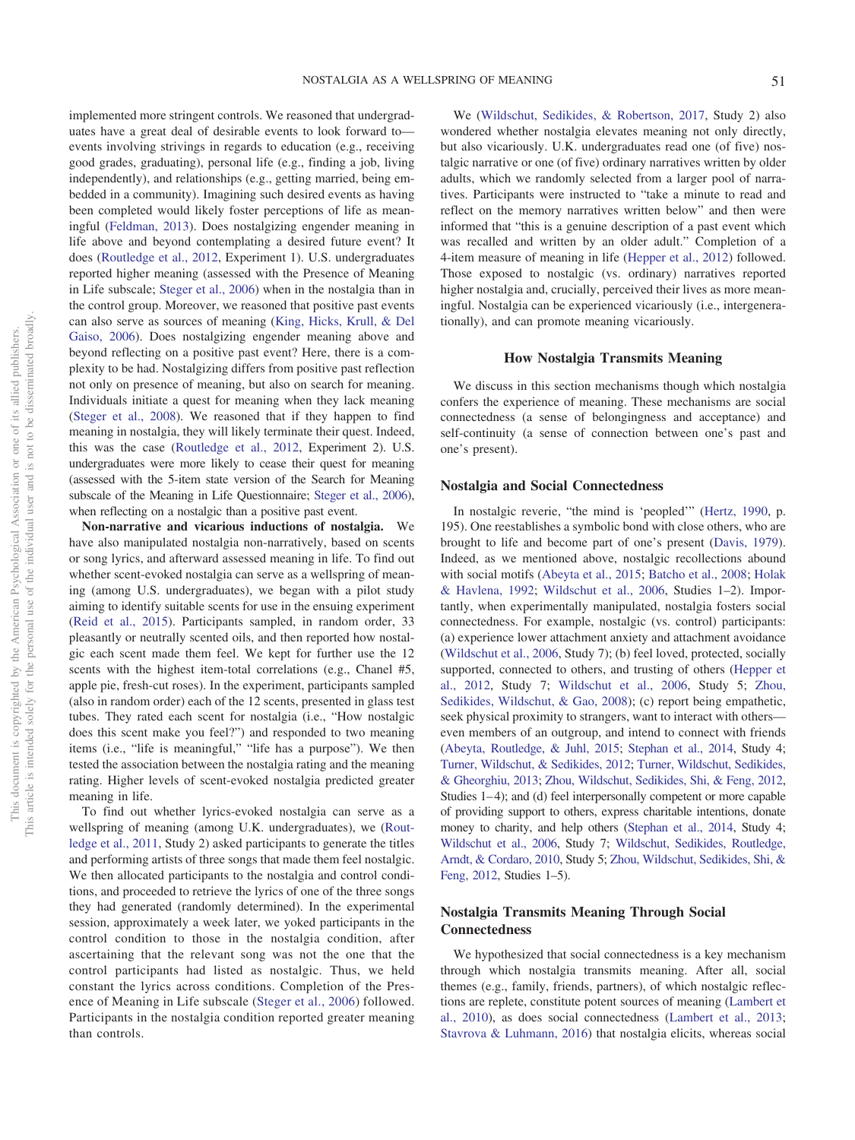implemented more stringent controls. We reasoned that undergraduates have a great deal of desirable events to look forward to events involving strivings in regards to education (e.g., receiving good grades, graduating), personal life (e.g., finding a job, living independently), and relationships (e.g., getting married, being embedded in a community). Imagining such desired events as having been completed would likely foster perceptions of life as meaningful [\(Feldman, 2013\)](#page-10-14). Does nostalgizing engender meaning in life above and beyond contemplating a desired future event? It does [\(Routledge et al., 2012,](#page-11-14) Experiment 1). U.S. undergraduates reported higher meaning (assessed with the Presence of Meaning in Life subscale; [Steger et al., 2006\)](#page-12-8) when in the nostalgia than in the control group. Moreover, we reasoned that positive past events can also serve as sources of meaning [\(King, Hicks, Krull, & Del](#page-10-15) [Gaiso, 2006\)](#page-10-15). Does nostalgizing engender meaning above and beyond reflecting on a positive past event? Here, there is a complexity to be had. Nostalgizing differs from positive past reflection not only on presence of meaning, but also on search for meaning. Individuals initiate a quest for meaning when they lack meaning [\(Steger et al., 2008\)](#page-12-6). We reasoned that if they happen to find meaning in nostalgia, they will likely terminate their quest. Indeed, this was the case [\(Routledge et al., 2012,](#page-11-14) Experiment 2). U.S. undergraduates were more likely to cease their quest for meaning (assessed with the 5-item state version of the Search for Meaning subscale of the Meaning in Life Questionnaire; [Steger et al., 2006\)](#page-12-8), when reflecting on a nostalgic than a positive past event.

**Non-narrative and vicarious inductions of nostalgia.** We have also manipulated nostalgia non-narratively, based on scents or song lyrics, and afterward assessed meaning in life. To find out whether scent-evoked nostalgia can serve as a wellspring of meaning (among U.S. undergraduates), we began with a pilot study aiming to identify suitable scents for use in the ensuing experiment [\(Reid et al., 2015\)](#page-11-5). Participants sampled, in random order, 33 pleasantly or neutrally scented oils, and then reported how nostalgic each scent made them feel. We kept for further use the 12 scents with the highest item-total correlations (e.g., Chanel #5, apple pie, fresh-cut roses). In the experiment, participants sampled (also in random order) each of the 12 scents, presented in glass test tubes. They rated each scent for nostalgia (i.e., "How nostalgic does this scent make you feel?") and responded to two meaning items (i.e., "life is meaningful," "life has a purpose"). We then tested the association between the nostalgia rating and the meaning rating. Higher levels of scent-evoked nostalgia predicted greater meaning in life.

To find out whether lyrics-evoked nostalgia can serve as a wellspring of meaning (among U.K. undergraduates), we [\(Rout](#page-11-10)[ledge et al., 2011,](#page-11-10) Study 2) asked participants to generate the titles and performing artists of three songs that made them feel nostalgic. We then allocated participants to the nostalgia and control conditions, and proceeded to retrieve the lyrics of one of the three songs they had generated (randomly determined). In the experimental session, approximately a week later, we yoked participants in the control condition to those in the nostalgia condition, after ascertaining that the relevant song was not the one that the control participants had listed as nostalgic. Thus, we held constant the lyrics across conditions. Completion of the Presence of Meaning in Life subscale [\(Steger et al., 2006\)](#page-12-8) followed. Participants in the nostalgia condition reported greater meaning than controls.

We [\(Wildschut, Sedikides, & Robertson, 2017,](#page-12-12) Study 2) also wondered whether nostalgia elevates meaning not only directly, but also vicariously. U.K. undergraduates read one (of five) nostalgic narrative or one (of five) ordinary narratives written by older adults, which we randomly selected from a larger pool of narratives. Participants were instructed to "take a minute to read and reflect on the memory narratives written below" and then were informed that "this is a genuine description of a past event which was recalled and written by an older adult." Completion of a 4-item measure of meaning in life [\(Hepper et al., 2012\)](#page-10-1) followed. Those exposed to nostalgic (vs. ordinary) narratives reported higher nostalgia and, crucially, perceived their lives as more meaningful. Nostalgia can be experienced vicariously (i.e., intergenerationally), and can promote meaning vicariously.

# **How Nostalgia Transmits Meaning**

We discuss in this section mechanisms though which nostalgia confers the experience of meaning. These mechanisms are social connectedness (a sense of belongingness and acceptance) and self-continuity (a sense of connection between one's past and one's present).

# **Nostalgia and Social Connectedness**

In nostalgic reverie, "the mind is 'peopled'" [\(Hertz, 1990,](#page-10-16) p. 195). One reestablishes a symbolic bond with close others, who are brought to life and become part of one's present [\(Davis, 1979\)](#page-9-9). Indeed, as we mentioned above, nostalgic recollections abound with social motifs [\(Abeyta et al., 2015;](#page-9-17) [Batcho et al., 2008;](#page-9-12) [Holak](#page-10-17) [& Havlena, 1992;](#page-10-17) [Wildschut et al., 2006,](#page-12-3) Studies 1–2). Importantly, when experimentally manipulated, nostalgia fosters social connectedness. For example, nostalgic (vs. control) participants: (a) experience lower attachment anxiety and attachment avoidance [\(Wildschut et al., 2006,](#page-12-3) Study 7); (b) feel loved, protected, socially supported, connected to others, and trusting of others [\(Hepper et](#page-10-1) [al., 2012,](#page-10-1) Study 7; [Wildschut et al., 2006,](#page-12-3) Study 5; [Zhou,](#page-13-1) [Sedikides, Wildschut, & Gao, 2008\)](#page-13-1); (c) report being empathetic, seek physical proximity to strangers, want to interact with others even members of an outgroup, and intend to connect with friends (Abeyta, [Routledge, & Juhl, 2015;](#page-9-17) [Stephan et al., 2014,](#page-12-5) Study 4; [Turner, Wildschut, & Sedikides, 2012;](#page-12-13) [Turner, Wildschut, Sedikides,](#page-12-14) [& Gheorghiu, 2013;](#page-12-14) [Zhou, Wildschut, Sedikides, Shi, & Feng, 2012,](#page-13-0) Studies 1–4); and (d) feel interpersonally competent or more capable of providing support to others, express charitable intentions, donate money to charity, and help others [\(Stephan et al., 2014,](#page-12-5) Study 4; [Wildschut et al., 2006,](#page-12-3) Study 7; [Wildschut, Sedikides, Routledge,](#page-12-10) [Arndt, & Cordaro, 2010,](#page-12-10) Study 5; [Zhou, Wildschut, Sedikides, Shi, &](#page-13-0) [Feng, 2012,](#page-13-0) Studies 1–5).

# **Nostalgia Transmits Meaning Through Social Connectedness**

We hypothesized that social connectedness is a key mechanism through which nostalgia transmits meaning. After all, social themes (e.g., family, friends, partners), of which nostalgic reflections are replete, constitute potent sources of meaning [\(Lambert et](#page-10-18) [al., 2010\)](#page-10-18), as does social connectedness [\(Lambert et al., 2013;](#page-10-19) [Stavrova & Luhmann, 2016\)](#page-12-15) that nostalgia elicits, whereas social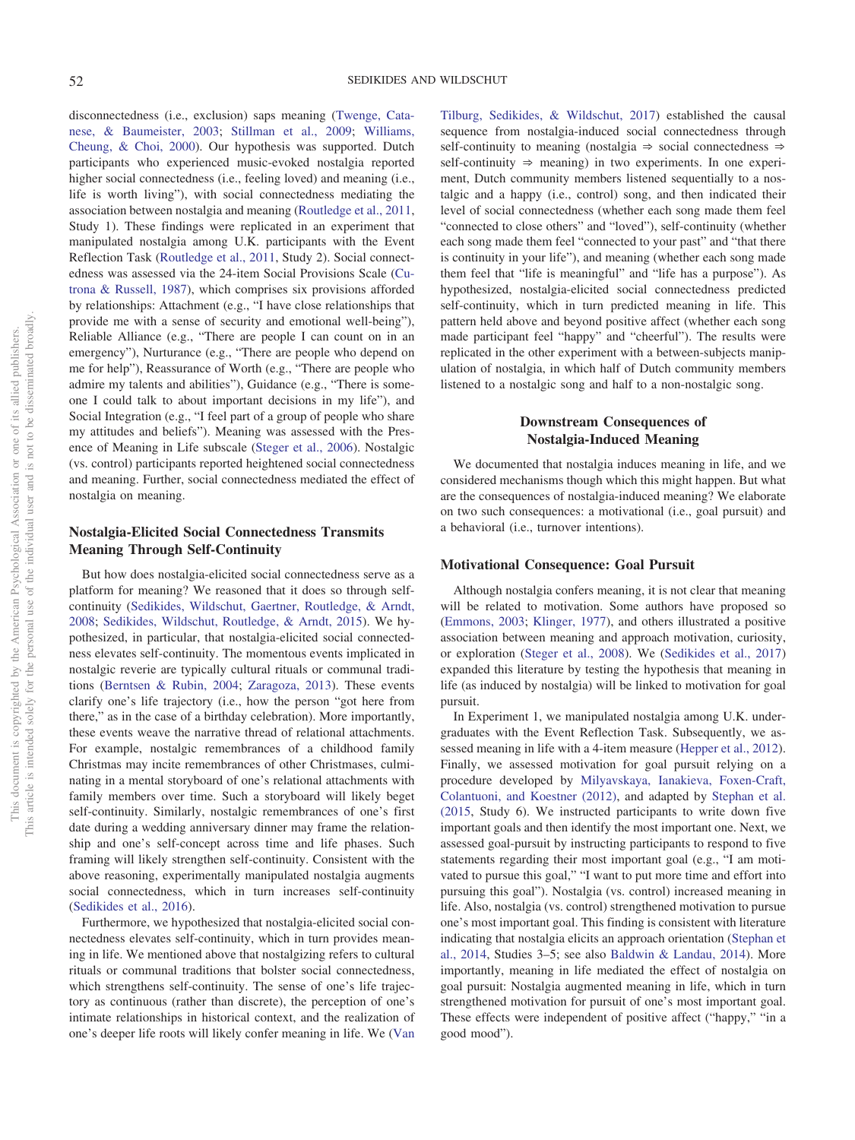disconnectedness (i.e., exclusion) saps meaning [\(Twenge, Cata](#page-12-16)[nese, & Baumeister, 2003;](#page-12-16) [Stillman et al., 2009;](#page-12-17) [Williams,](#page-12-18) [Cheung, & Choi, 2000\)](#page-12-18). Our hypothesis was supported. Dutch participants who experienced music-evoked nostalgia reported higher social connectedness (i.e., feeling loved) and meaning (i.e., life is worth living"), with social connectedness mediating the association between nostalgia and meaning [\(Routledge et al., 2011,](#page-11-10) Study 1). These findings were replicated in an experiment that manipulated nostalgia among U.K. participants with the Event Reflection Task [\(Routledge et al., 2011,](#page-11-10) Study 2). Social connectedness was assessed via the 24-item Social Provisions Scale [\(Cu](#page-9-18)[trona & Russell, 1987\)](#page-9-18), which comprises six provisions afforded by relationships: Attachment (e.g., "I have close relationships that provide me with a sense of security and emotional well-being"), Reliable Alliance (e.g., "There are people I can count on in an emergency"), Nurturance (e.g., "There are people who depend on me for help"), Reassurance of Worth (e.g., "There are people who admire my talents and abilities"), Guidance (e.g., "There is someone I could talk to about important decisions in my life"), and Social Integration (e.g., "I feel part of a group of people who share my attitudes and beliefs"). Meaning was assessed with the Presence of Meaning in Life subscale [\(Steger et al., 2006\)](#page-12-8). Nostalgic (vs. control) participants reported heightened social connectedness and meaning. Further, social connectedness mediated the effect of nostalgia on meaning.

# **Nostalgia-Elicited Social Connectedness Transmits Meaning Through Self-Continuity**

But how does nostalgia-elicited social connectedness serve as a platform for meaning? We reasoned that it does so through selfcontinuity [\(Sedikides, Wildschut, Gaertner, Routledge, & Arndt,](#page-12-19) [2008;](#page-12-19) [Sedikides, Wildschut, Routledge, & Arndt, 2015\)](#page-12-20). We hypothesized, in particular, that nostalgia-elicited social connectedness elevates self-continuity. The momentous events implicated in nostalgic reverie are typically cultural rituals or communal traditions [\(Berntsen & Rubin, 2004;](#page-9-3) [Zaragoza, 2013\)](#page-13-2). These events clarify one's life trajectory (i.e., how the person "got here from there," as in the case of a birthday celebration). More importantly, these events weave the narrative thread of relational attachments. For example, nostalgic remembrances of a childhood family Christmas may incite remembrances of other Christmases, culminating in a mental storyboard of one's relational attachments with family members over time. Such a storyboard will likely beget self-continuity. Similarly, nostalgic remembrances of one's first date during a wedding anniversary dinner may frame the relationship and one's self-concept across time and life phases. Such framing will likely strengthen self-continuity. Consistent with the above reasoning, experimentally manipulated nostalgia augments social connectedness, which in turn increases self-continuity [\(Sedikides et al., 2016\)](#page-11-12).

Furthermore, we hypothesized that nostalgia-elicited social connectedness elevates self-continuity, which in turn provides meaning in life. We mentioned above that nostalgizing refers to cultural rituals or communal traditions that bolster social connectedness, which strengthens self-continuity. The sense of one's life trajectory as continuous (rather than discrete), the perception of one's intimate relationships in historical context, and the realization of one's deeper life roots will likely confer meaning in life. We [\(Van](#page-12-21) [Tilburg, Sedikides, & Wildschut, 2017\)](#page-12-21) established the causal sequence from nostalgia-induced social connectedness through self-continuity to meaning (nostalgia  $\Rightarrow$  social connectedness  $\Rightarrow$ self-continuity  $\Rightarrow$  meaning) in two experiments. In one experiment, Dutch community members listened sequentially to a nostalgic and a happy (i.e., control) song, and then indicated their level of social connectedness (whether each song made them feel "connected to close others" and "loved"), self-continuity (whether each song made them feel "connected to your past" and "that there is continuity in your life"), and meaning (whether each song made them feel that "life is meaningful" and "life has a purpose"). As hypothesized, nostalgia-elicited social connectedness predicted self-continuity, which in turn predicted meaning in life. This pattern held above and beyond positive affect (whether each song made participant feel "happy" and "cheerful"). The results were replicated in the other experiment with a between-subjects manipulation of nostalgia, in which half of Dutch community members listened to a nostalgic song and half to a non-nostalgic song.

# **Downstream Consequences of Nostalgia-Induced Meaning**

We documented that nostalgia induces meaning in life, and we considered mechanisms though which this might happen. But what are the consequences of nostalgia-induced meaning? We elaborate on two such consequences: a motivational (i.e., goal pursuit) and a behavioral (i.e., turnover intentions).

#### **Motivational Consequence: Goal Pursuit**

Although nostalgia confers meaning, it is not clear that meaning will be related to motivation. Some authors have proposed so [\(Emmons, 2003;](#page-9-19) [Klinger, 1977\)](#page-10-20), and others illustrated a positive association between meaning and approach motivation, curiosity, or exploration [\(Steger et al., 2008\)](#page-12-6). We [\(Sedikides et al., 2017\)](#page-11-13) expanded this literature by testing the hypothesis that meaning in life (as induced by nostalgia) will be linked to motivation for goal pursuit.

In Experiment 1, we manipulated nostalgia among U.K. undergraduates with the Event Reflection Task. Subsequently, we assessed meaning in life with a 4-item measure [\(Hepper et al., 2012\)](#page-10-1). Finally, we assessed motivation for goal pursuit relying on a procedure developed by [Milyavskaya, Ianakieva, Foxen-Craft,](#page-11-15) [Colantuoni, and Koestner \(2012\),](#page-11-15) and adapted by [Stephan et al.](#page-12-22) [\(2015,](#page-12-22) Study 6). We instructed participants to write down five important goals and then identify the most important one. Next, we assessed goal-pursuit by instructing participants to respond to five statements regarding their most important goal (e.g., "I am motivated to pursue this goal," "I want to put more time and effort into pursuing this goal"). Nostalgia (vs. control) increased meaning in life. Also, nostalgia (vs. control) strengthened motivation to pursue one's most important goal. This finding is consistent with literature indicating that nostalgia elicits an approach orientation [\(Stephan et](#page-12-5) [al., 2014,](#page-12-5) Studies 3–5; see also [Baldwin & Landau, 2014\)](#page-9-16). More importantly, meaning in life mediated the effect of nostalgia on goal pursuit: Nostalgia augmented meaning in life, which in turn strengthened motivation for pursuit of one's most important goal. These effects were independent of positive affect ("happy," "in a good mood").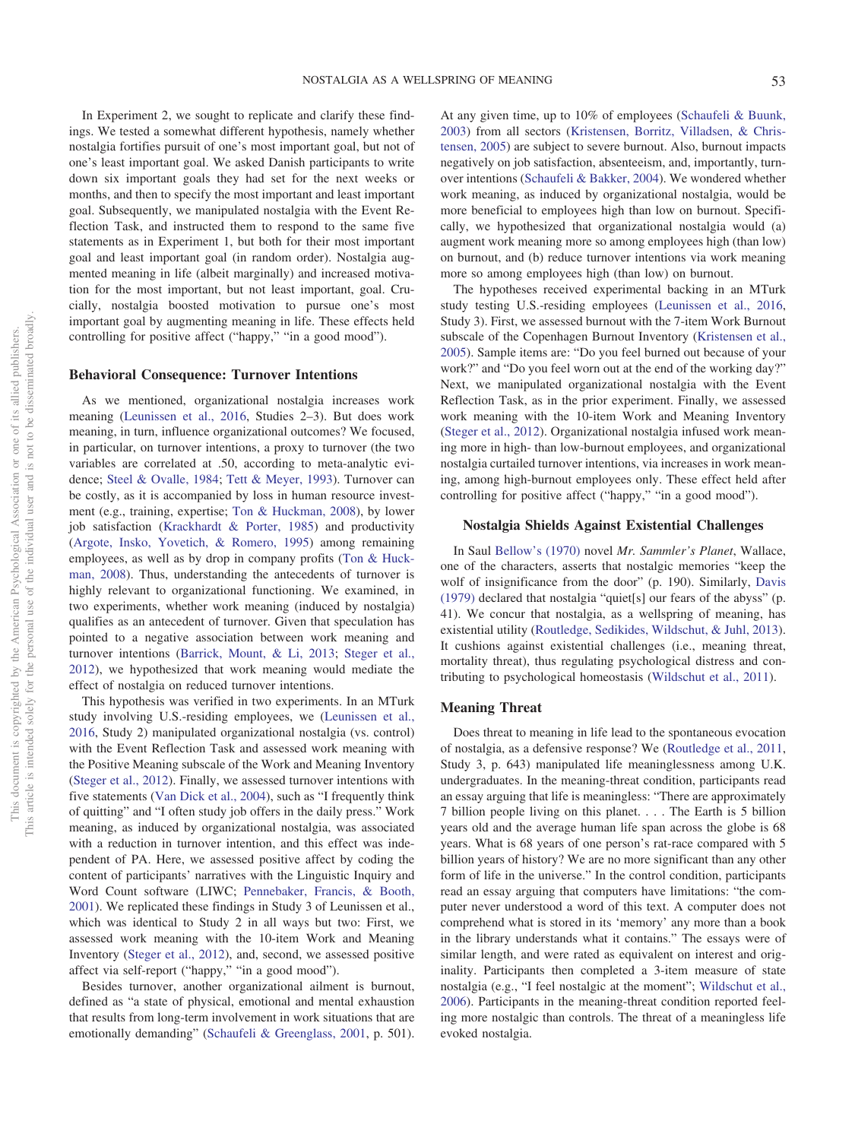In Experiment 2, we sought to replicate and clarify these findings. We tested a somewhat different hypothesis, namely whether nostalgia fortifies pursuit of one's most important goal, but not of one's least important goal. We asked Danish participants to write down six important goals they had set for the next weeks or months, and then to specify the most important and least important goal. Subsequently, we manipulated nostalgia with the Event Reflection Task, and instructed them to respond to the same five statements as in Experiment 1, but both for their most important goal and least important goal (in random order). Nostalgia augmented meaning in life (albeit marginally) and increased motivation for the most important, but not least important, goal. Crucially, nostalgia boosted motivation to pursue one's most important goal by augmenting meaning in life. These effects held controlling for positive affect ("happy," "in a good mood").

#### **Behavioral Consequence: Turnover Intentions**

As we mentioned, organizational nostalgia increases work meaning [\(Leunissen et al., 2016,](#page-10-10) Studies 2–3). But does work meaning, in turn, influence organizational outcomes? We focused, in particular, on turnover intentions, a proxy to turnover (the two variables are correlated at .50, according to meta-analytic evidence; [Steel & Ovalle, 1984;](#page-12-23) [Tett & Meyer, 1993\)](#page-12-24). Turnover can be costly, as it is accompanied by loss in human resource investment (e.g., training, expertise; [Ton & Huckman, 2008\)](#page-12-25), by lower job satisfaction [\(Krackhardt & Porter, 1985\)](#page-10-21) and productivity [\(Argote, Insko, Yovetich, & Romero, 1995\)](#page-9-20) among remaining employees, as well as by drop in company profits [\(Ton & Huck](#page-12-25)[man, 2008\)](#page-12-25). Thus, understanding the antecedents of turnover is highly relevant to organizational functioning. We examined, in two experiments, whether work meaning (induced by nostalgia) qualifies as an antecedent of turnover. Given that speculation has pointed to a negative association between work meaning and turnover intentions [\(Barrick, Mount, & Li, 2013;](#page-9-21) [Steger et al.,](#page-12-9) [2012\)](#page-12-9), we hypothesized that work meaning would mediate the effect of nostalgia on reduced turnover intentions.

This hypothesis was verified in two experiments. In an MTurk study involving U.S.-residing employees, we [\(Leunissen et al.,](#page-10-10) [2016,](#page-10-10) Study 2) manipulated organizational nostalgia (vs. control) with the Event Reflection Task and assessed work meaning with the Positive Meaning subscale of the Work and Meaning Inventory [\(Steger et al., 2012\)](#page-12-9). Finally, we assessed turnover intentions with five statements [\(Van Dick et al., 2004\)](#page-12-26), such as "I frequently think of quitting" and "I often study job offers in the daily press." Work meaning, as induced by organizational nostalgia, was associated with a reduction in turnover intention, and this effect was independent of PA. Here, we assessed positive affect by coding the content of participants' narratives with the Linguistic Inquiry and Word Count software (LIWC; [Pennebaker, Francis, & Booth,](#page-11-16) [2001\)](#page-11-16). We replicated these findings in Study 3 of Leunissen et al., which was identical to Study 2 in all ways but two: First, we assessed work meaning with the 10-item Work and Meaning Inventory [\(Steger et al., 2012\)](#page-12-9), and, second, we assessed positive affect via self-report ("happy," "in a good mood").

Besides turnover, another organizational ailment is burnout, defined as "a state of physical, emotional and mental exhaustion that results from long-term involvement in work situations that are emotionally demanding" [\(Schaufeli & Greenglass, 2001,](#page-11-17) p. 501).

At any given time, up to 10% of employees [\(Schaufeli & Buunk,](#page-11-18) [2003\)](#page-11-18) from all sectors [\(Kristensen, Borritz, Villadsen, & Chris](#page-10-22)[tensen, 2005\)](#page-10-22) are subject to severe burnout. Also, burnout impacts negatively on job satisfaction, absenteeism, and, importantly, turnover intentions [\(Schaufeli & Bakker, 2004\)](#page-11-19). We wondered whether work meaning, as induced by organizational nostalgia, would be more beneficial to employees high than low on burnout. Specifically, we hypothesized that organizational nostalgia would (a) augment work meaning more so among employees high (than low) on burnout, and (b) reduce turnover intentions via work meaning more so among employees high (than low) on burnout.

The hypotheses received experimental backing in an MTurk study testing U.S.-residing employees [\(Leunissen et al., 2016,](#page-10-10) Study 3). First, we assessed burnout with the 7-item Work Burnout subscale of the Copenhagen Burnout Inventory [\(Kristensen et al.,](#page-10-22) [2005\)](#page-10-22). Sample items are: "Do you feel burned out because of your work?" and "Do you feel worn out at the end of the working day?" Next, we manipulated organizational nostalgia with the Event Reflection Task, as in the prior experiment. Finally, we assessed work meaning with the 10-item Work and Meaning Inventory [\(Steger et al., 2012\)](#page-12-9). Organizational nostalgia infused work meaning more in high- than low-burnout employees, and organizational nostalgia curtailed turnover intentions, via increases in work meaning, among high-burnout employees only. These effect held after controlling for positive affect ("happy," "in a good mood").

# **Nostalgia Shields Against Existential Challenges**

In Saul [Bellow's \(1970\)](#page-9-22) novel *Mr. Sammler's Planet*, Wallace, one of the characters, asserts that nostalgic memories "keep the wolf of insignificance from the door" (p. 190). Similarly, [Davis](#page-9-9) [\(1979\)](#page-9-9) declared that nostalgia "quiet[s] our fears of the abyss" (p. 41). We concur that nostalgia, as a wellspring of meaning, has existential utility [\(Routledge, Sedikides, Wildschut, & Juhl, 2013\)](#page-11-20). It cushions against existential challenges (i.e., meaning threat, mortality threat), thus regulating psychological distress and contributing to psychological homeostasis [\(Wildschut et al., 2011\)](#page-12-2).

# **Meaning Threat**

Does threat to meaning in life lead to the spontaneous evocation of nostalgia, as a defensive response? We [\(Routledge et al., 2011,](#page-11-10) Study 3, p. 643) manipulated life meaninglessness among U.K. undergraduates. In the meaning-threat condition, participants read an essay arguing that life is meaningless: "There are approximately 7 billion people living on this planet. . . . The Earth is 5 billion years old and the average human life span across the globe is 68 years. What is 68 years of one person's rat-race compared with 5 billion years of history? We are no more significant than any other form of life in the universe." In the control condition, participants read an essay arguing that computers have limitations: "the computer never understood a word of this text. A computer does not comprehend what is stored in its 'memory' any more than a book in the library understands what it contains." The essays were of similar length, and were rated as equivalent on interest and originality. Participants then completed a 3-item measure of state nostalgia (e.g., "I feel nostalgic at the moment"; [Wildschut et al.,](#page-12-3) [2006\)](#page-12-3). Participants in the meaning-threat condition reported feeling more nostalgic than controls. The threat of a meaningless life evoked nostalgia.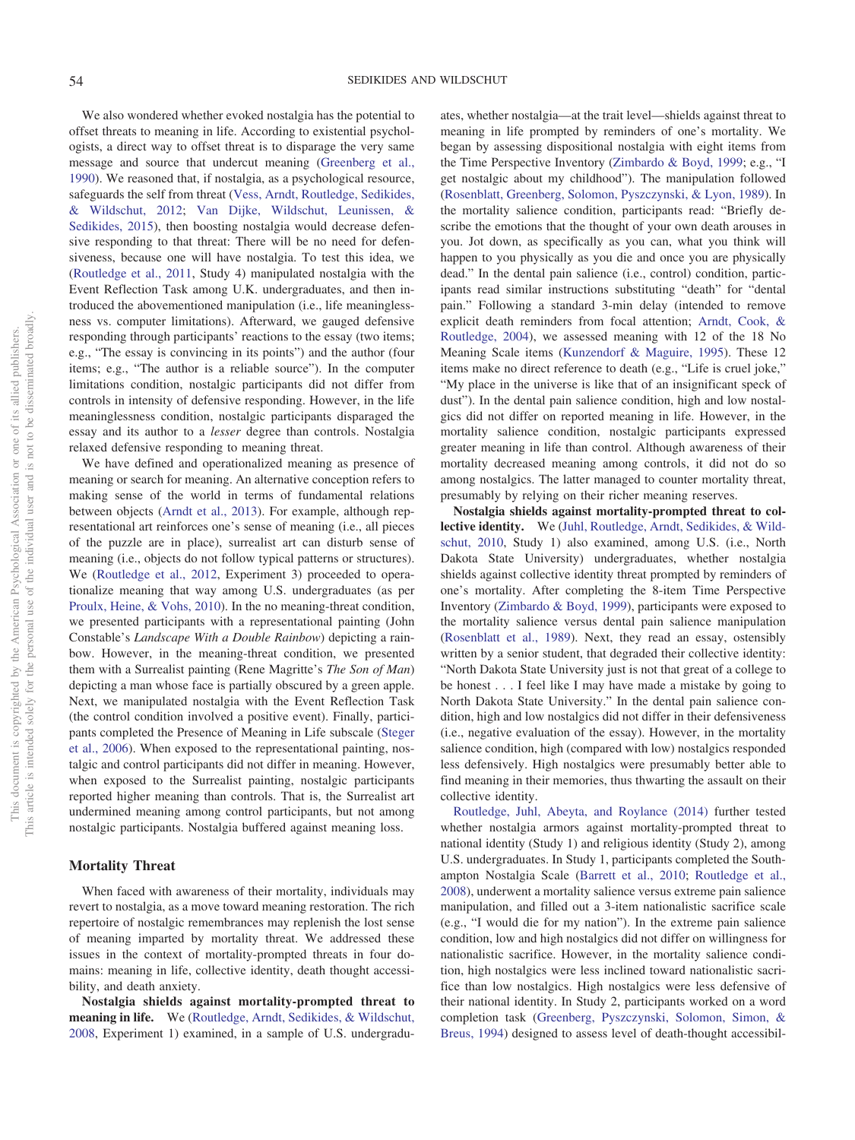We also wondered whether evoked nostalgia has the potential to offset threats to meaning in life. According to existential psychologists, a direct way to offset threat is to disparage the very same message and source that undercut meaning [\(Greenberg et al.,](#page-10-23) [1990\)](#page-10-23). We reasoned that, if nostalgia, as a psychological resource, safeguards the self from threat [\(Vess, Arndt, Routledge, Sedikides,](#page-12-27) [& Wildschut, 2012;](#page-12-27) [Van Dijke, Wildschut, Leunissen, &](#page-12-28) [Sedikides, 2015\)](#page-12-28), then boosting nostalgia would decrease defensive responding to that threat: There will be no need for defensiveness, because one will have nostalgia. To test this idea, we [\(Routledge et al., 2011,](#page-11-10) Study 4) manipulated nostalgia with the Event Reflection Task among U.K. undergraduates, and then introduced the abovementioned manipulation (i.e., life meaninglessness vs. computer limitations). Afterward, we gauged defensive responding through participants' reactions to the essay (two items; e.g., "The essay is convincing in its points") and the author (four items; e.g., "The author is a reliable source"). In the computer limitations condition, nostalgic participants did not differ from controls in intensity of defensive responding. However, in the life meaninglessness condition, nostalgic participants disparaged the essay and its author to a *lesser* degree than controls. Nostalgia relaxed defensive responding to meaning threat.

We have defined and operationalized meaning as presence of meaning or search for meaning. An alternative conception refers to making sense of the world in terms of fundamental relations between objects [\(Arndt et al., 2013\)](#page-9-8). For example, although representational art reinforces one's sense of meaning (i.e., all pieces of the puzzle are in place), surrealist art can disturb sense of meaning (i.e., objects do not follow typical patterns or structures). We [\(Routledge et al., 2012,](#page-11-14) Experiment 3) proceeded to operationalize meaning that way among U.S. undergraduates (as per [Proulx, Heine, & Vohs, 2010\)](#page-11-21). In the no meaning-threat condition, we presented participants with a representational painting (John Constable's *Landscape With a Double Rainbow*) depicting a rainbow. However, in the meaning-threat condition, we presented them with a Surrealist painting (Rene Magritte's *The Son of Man*) depicting a man whose face is partially obscured by a green apple. Next, we manipulated nostalgia with the Event Reflection Task (the control condition involved a positive event). Finally, participants completed the Presence of Meaning in Life subscale [\(Steger](#page-12-8) [et al., 2006\)](#page-12-8). When exposed to the representational painting, nostalgic and control participants did not differ in meaning. However, when exposed to the Surrealist painting, nostalgic participants reported higher meaning than controls. That is, the Surrealist art undermined meaning among control participants, but not among nostalgic participants. Nostalgia buffered against meaning loss.

# **Mortality Threat**

When faced with awareness of their mortality, individuals may revert to nostalgia, as a move toward meaning restoration. The rich repertoire of nostalgic remembrances may replenish the lost sense of meaning imparted by mortality threat. We addressed these issues in the context of mortality-prompted threats in four domains: meaning in life, collective identity, death thought accessibility, and death anxiety.

**Nostalgia shields against mortality-prompted threat to meaning in life.** We [\(Routledge, Arndt, Sedikides, & Wildschut,](#page-11-22) [2008,](#page-11-22) Experiment 1) examined, in a sample of U.S. undergradu-

ates, whether nostalgia—at the trait level—shields against threat to meaning in life prompted by reminders of one's mortality. We began by assessing dispositional nostalgia with eight items from the Time Perspective Inventory [\(Zimbardo & Boyd, 1999;](#page-13-3) e.g., "I get nostalgic about my childhood"). The manipulation followed [\(Rosenblatt, Greenberg, Solomon, Pyszczynski, & Lyon, 1989\)](#page-11-23). In the mortality salience condition, participants read: "Briefly describe the emotions that the thought of your own death arouses in you. Jot down, as specifically as you can, what you think will happen to you physically as you die and once you are physically dead." In the dental pain salience (i.e., control) condition, participants read similar instructions substituting "death" for "dental pain." Following a standard 3-min delay (intended to remove explicit death reminders from focal attention; [Arndt, Cook, &](#page-9-23) [Routledge, 2004\)](#page-9-23), we assessed meaning with 12 of the 18 No Meaning Scale items [\(Kunzendorf & Maguire, 1995\)](#page-10-24). These 12 items make no direct reference to death (e.g., "Life is cruel joke," "My place in the universe is like that of an insignificant speck of dust"). In the dental pain salience condition, high and low nostalgics did not differ on reported meaning in life. However, in the mortality salience condition, nostalgic participants expressed greater meaning in life than control. Although awareness of their mortality decreased meaning among controls, it did not do so among nostalgics. The latter managed to counter mortality threat, presumably by relying on their richer meaning reserves.

**Nostalgia shields against mortality-prompted threat to collective identity.** We [\(Juhl, Routledge, Arndt, Sedikides, & Wild](#page-10-25)[schut, 2010,](#page-10-25) Study 1) also examined, among U.S. (i.e., North Dakota State University) undergraduates, whether nostalgia shields against collective identity threat prompted by reminders of one's mortality. After completing the 8-item Time Perspective Inventory [\(Zimbardo & Boyd, 1999\)](#page-13-3), participants were exposed to the mortality salience versus dental pain salience manipulation [\(Rosenblatt et al., 1989\)](#page-11-23). Next, they read an essay, ostensibly written by a senior student, that degraded their collective identity: "North Dakota State University just is not that great of a college to be honest...I feel like I may have made a mistake by going to North Dakota State University." In the dental pain salience condition, high and low nostalgics did not differ in their defensiveness (i.e., negative evaluation of the essay). However, in the mortality salience condition, high (compared with low) nostalgics responded less defensively. High nostalgics were presumably better able to find meaning in their memories, thus thwarting the assault on their collective identity.

[Routledge, Juhl, Abeyta, and Roylance \(2014\)](#page-11-24) further tested whether nostalgia armors against mortality-prompted threat to national identity (Study 1) and religious identity (Study 2), among U.S. undergraduates. In Study 1, participants completed the Southampton Nostalgia Scale [\(Barrett et al., 2010;](#page-9-5) [Routledge et al.,](#page-11-22) [2008\)](#page-11-22), underwent a mortality salience versus extreme pain salience manipulation, and filled out a 3-item nationalistic sacrifice scale (e.g., "I would die for my nation"). In the extreme pain salience condition, low and high nostalgics did not differ on willingness for nationalistic sacrifice. However, in the mortality salience condition, high nostalgics were less inclined toward nationalistic sacrifice than low nostalgics. High nostalgics were less defensive of their national identity. In Study 2, participants worked on a word completion task [\(Greenberg, Pyszczynski, Solomon, Simon, &](#page-10-26) [Breus, 1994\)](#page-10-26) designed to assess level of death-thought accessibil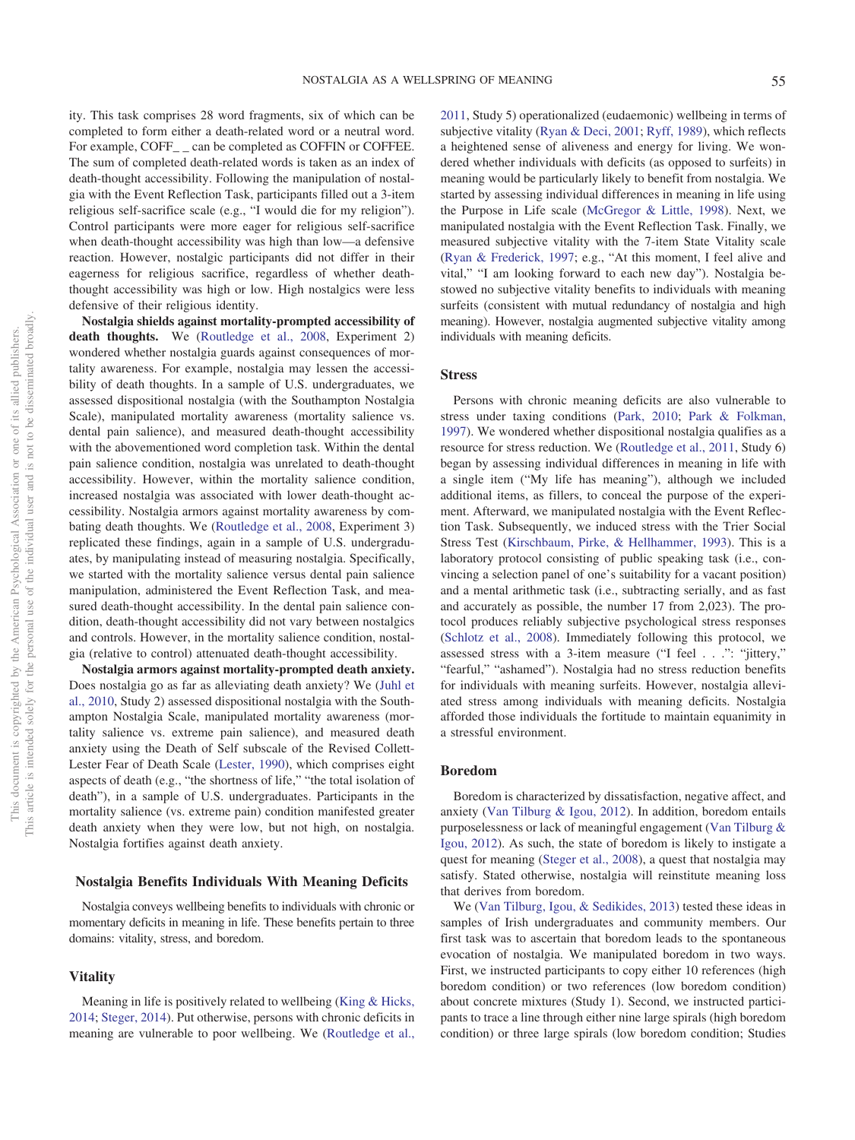ity. This task comprises 28 word fragments, six of which can be completed to form either a death-related word or a neutral word. For example, COFF<sub>-c</sub> can be completed as COFFIN or COFFEE. The sum of completed death-related words is taken as an index of death-thought accessibility. Following the manipulation of nostalgia with the Event Reflection Task, participants filled out a 3-item religious self-sacrifice scale (e.g., "I would die for my religion"). Control participants were more eager for religious self-sacrifice when death-thought accessibility was high than low—a defensive reaction. However, nostalgic participants did not differ in their eagerness for religious sacrifice, regardless of whether deaththought accessibility was high or low. High nostalgics were less defensive of their religious identity.

**Nostalgia shields against mortality-prompted accessibility of death thoughts.** We [\(Routledge et al., 2008,](#page-11-22) Experiment 2) wondered whether nostalgia guards against consequences of mortality awareness. For example, nostalgia may lessen the accessibility of death thoughts. In a sample of U.S. undergraduates, we assessed dispositional nostalgia (with the Southampton Nostalgia Scale), manipulated mortality awareness (mortality salience vs. dental pain salience), and measured death-thought accessibility with the abovementioned word completion task. Within the dental pain salience condition, nostalgia was unrelated to death-thought accessibility. However, within the mortality salience condition, increased nostalgia was associated with lower death-thought accessibility. Nostalgia armors against mortality awareness by combating death thoughts. We [\(Routledge et al., 2008,](#page-11-22) Experiment 3) replicated these findings, again in a sample of U.S. undergraduates, by manipulating instead of measuring nostalgia. Specifically, we started with the mortality salience versus dental pain salience manipulation, administered the Event Reflection Task, and measured death-thought accessibility. In the dental pain salience condition, death-thought accessibility did not vary between nostalgics and controls. However, in the mortality salience condition, nostalgia (relative to control) attenuated death-thought accessibility.

**Nostalgia armors against mortality-prompted death anxiety.** Does nostalgia go as far as alleviating death anxiety? We [\(Juhl et](#page-10-25) [al., 2010,](#page-10-25) Study 2) assessed dispositional nostalgia with the Southampton Nostalgia Scale, manipulated mortality awareness (mortality salience vs. extreme pain salience), and measured death anxiety using the Death of Self subscale of the Revised Collett-Lester Fear of Death Scale [\(Lester, 1990\)](#page-10-27), which comprises eight aspects of death (e.g., "the shortness of life," "the total isolation of death"), in a sample of U.S. undergraduates. Participants in the mortality salience (vs. extreme pain) condition manifested greater death anxiety when they were low, but not high, on nostalgia. Nostalgia fortifies against death anxiety.

# **Nostalgia Benefits Individuals With Meaning Deficits**

Nostalgia conveys wellbeing benefits to individuals with chronic or momentary deficits in meaning in life. These benefits pertain to three domains: vitality, stress, and boredom.

# **Vitality**

Meaning in life is positively related to wellbeing [\(King & Hicks,](#page-10-28) [2014;](#page-10-28) [Steger, 2014\)](#page-12-29). Put otherwise, persons with chronic deficits in meaning are vulnerable to poor wellbeing. We [\(Routledge et al.,](#page-11-10)

[2011,](#page-11-10) Study 5) operationalized (eudaemonic) wellbeing in terms of subjective vitality [\(Ryan & Deci, 2001;](#page-11-25) [Ryff, 1989\)](#page-11-26), which reflects a heightened sense of aliveness and energy for living. We wondered whether individuals with deficits (as opposed to surfeits) in meaning would be particularly likely to benefit from nostalgia. We started by assessing individual differences in meaning in life using the Purpose in Life scale [\(McGregor & Little, 1998\)](#page-11-11). Next, we manipulated nostalgia with the Event Reflection Task. Finally, we measured subjective vitality with the 7-item State Vitality scale [\(Ryan & Frederick, 1997;](#page-11-27) e.g., "At this moment, I feel alive and vital," "I am looking forward to each new day"). Nostalgia bestowed no subjective vitality benefits to individuals with meaning surfeits (consistent with mutual redundancy of nostalgia and high meaning). However, nostalgia augmented subjective vitality among individuals with meaning deficits.

## **Stress**

Persons with chronic meaning deficits are also vulnerable to stress under taxing conditions [\(Park, 2010;](#page-11-8) [Park & Folkman,](#page-11-28) [1997\)](#page-11-28). We wondered whether dispositional nostalgia qualifies as a resource for stress reduction. We [\(Routledge et al., 2011,](#page-11-10) Study 6) began by assessing individual differences in meaning in life with a single item ("My life has meaning"), although we included additional items, as fillers, to conceal the purpose of the experiment. Afterward, we manipulated nostalgia with the Event Reflection Task. Subsequently, we induced stress with the Trier Social Stress Test [\(Kirschbaum, Pirke, & Hellhammer, 1993\)](#page-10-29). This is a laboratory protocol consisting of public speaking task (i.e., convincing a selection panel of one's suitability for a vacant position) and a mental arithmetic task (i.e., subtracting serially, and as fast and accurately as possible, the number 17 from 2,023). The protocol produces reliably subjective psychological stress responses [\(Schlotz et al., 2008\)](#page-11-29). Immediately following this protocol, we assessed stress with a 3-item measure ("I feel . . .": "jittery," "fearful," "ashamed"). Nostalgia had no stress reduction benefits for individuals with meaning surfeits. However, nostalgia alleviated stress among individuals with meaning deficits. Nostalgia afforded those individuals the fortitude to maintain equanimity in a stressful environment.

## **Boredom**

Boredom is characterized by dissatisfaction, negative affect, and anxiety [\(Van Tilburg & Igou, 2012\)](#page-12-30). In addition, boredom entails purposelessness or lack of meaningful engagement [\(Van Tilburg &](#page-12-30) [Igou, 2012\)](#page-12-30). As such, the state of boredom is likely to instigate a quest for meaning [\(Steger et al., 2008\)](#page-12-6), a quest that nostalgia may satisfy. Stated otherwise, nostalgia will reinstitute meaning loss that derives from boredom.

We [\(Van Tilburg, Igou, & Sedikides, 2013\)](#page-12-31) tested these ideas in samples of Irish undergraduates and community members. Our first task was to ascertain that boredom leads to the spontaneous evocation of nostalgia. We manipulated boredom in two ways. First, we instructed participants to copy either 10 references (high boredom condition) or two references (low boredom condition) about concrete mixtures (Study 1). Second, we instructed participants to trace a line through either nine large spirals (high boredom condition) or three large spirals (low boredom condition; Studies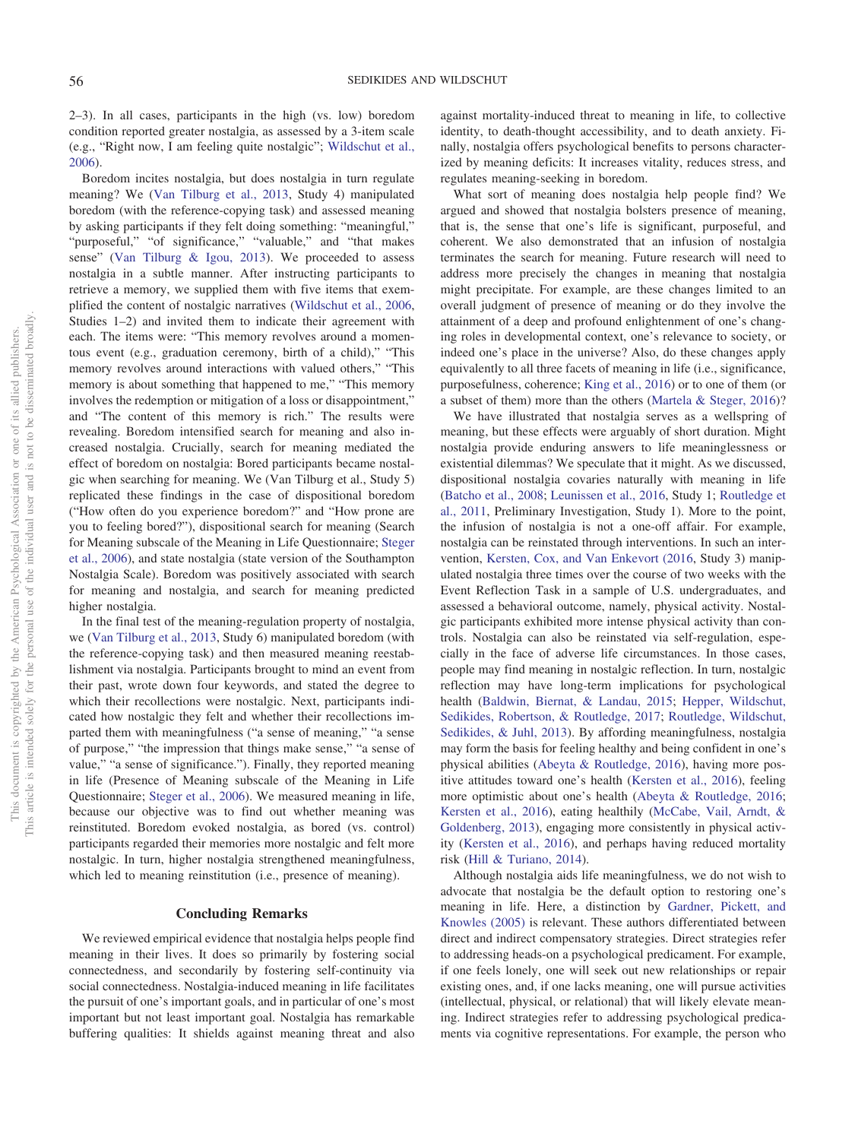2–3). In all cases, participants in the high (vs. low) boredom condition reported greater nostalgia, as assessed by a 3-item scale (e.g., "Right now, I am feeling quite nostalgic"; [Wildschut et al.,](#page-12-3) [2006\)](#page-12-3).

Boredom incites nostalgia, but does nostalgia in turn regulate meaning? We [\(Van Tilburg et al., 2013,](#page-12-31) Study 4) manipulated boredom (with the reference-copying task) and assessed meaning by asking participants if they felt doing something: "meaningful," "purposeful," "of significance," "valuable," and "that makes sense" [\(Van Tilburg & Igou, 2013\)](#page-12-32). We proceeded to assess nostalgia in a subtle manner. After instructing participants to retrieve a memory, we supplied them with five items that exemplified the content of nostalgic narratives [\(Wildschut et al., 2006,](#page-12-3) Studies 1–2) and invited them to indicate their agreement with each. The items were: "This memory revolves around a momentous event (e.g., graduation ceremony, birth of a child)," "This memory revolves around interactions with valued others," "This memory is about something that happened to me," "This memory involves the redemption or mitigation of a loss or disappointment," and "The content of this memory is rich." The results were revealing. Boredom intensified search for meaning and also increased nostalgia. Crucially, search for meaning mediated the effect of boredom on nostalgia: Bored participants became nostalgic when searching for meaning. We (Van Tilburg et al., Study 5) replicated these findings in the case of dispositional boredom ("How often do you experience boredom?" and "How prone are you to feeling bored?"), dispositional search for meaning (Search for Meaning subscale of the Meaning in Life Questionnaire; [Steger](#page-12-8) [et al., 2006\)](#page-12-8), and state nostalgia (state version of the Southampton Nostalgia Scale). Boredom was positively associated with search for meaning and nostalgia, and search for meaning predicted higher nostalgia.

In the final test of the meaning-regulation property of nostalgia, we [\(Van Tilburg et al., 2013,](#page-12-31) Study 6) manipulated boredom (with the reference-copying task) and then measured meaning reestablishment via nostalgia. Participants brought to mind an event from their past, wrote down four keywords, and stated the degree to which their recollections were nostalgic. Next, participants indicated how nostalgic they felt and whether their recollections imparted them with meaningfulness ("a sense of meaning," "a sense of purpose," "the impression that things make sense," "a sense of value," "a sense of significance."). Finally, they reported meaning in life (Presence of Meaning subscale of the Meaning in Life Questionnaire; [Steger et al., 2006\)](#page-12-8). We measured meaning in life, because our objective was to find out whether meaning was reinstituted. Boredom evoked nostalgia, as bored (vs. control) participants regarded their memories more nostalgic and felt more nostalgic. In turn, higher nostalgia strengthened meaningfulness, which led to meaning reinstitution (i.e., presence of meaning).

#### **Concluding Remarks**

We reviewed empirical evidence that nostalgia helps people find meaning in their lives. It does so primarily by fostering social connectedness, and secondarily by fostering self-continuity via social connectedness. Nostalgia-induced meaning in life facilitates the pursuit of one's important goals, and in particular of one's most important but not least important goal. Nostalgia has remarkable buffering qualities: It shields against meaning threat and also against mortality-induced threat to meaning in life, to collective identity, to death-thought accessibility, and to death anxiety. Finally, nostalgia offers psychological benefits to persons characterized by meaning deficits: It increases vitality, reduces stress, and regulates meaning-seeking in boredom.

What sort of meaning does nostalgia help people find? We argued and showed that nostalgia bolsters presence of meaning, that is, the sense that one's life is significant, purposeful, and coherent. We also demonstrated that an infusion of nostalgia terminates the search for meaning. Future research will need to address more precisely the changes in meaning that nostalgia might precipitate. For example, are these changes limited to an overall judgment of presence of meaning or do they involve the attainment of a deep and profound enlightenment of one's changing roles in developmental context, one's relevance to society, or indeed one's place in the universe? Also, do these changes apply equivalently to all three facets of meaning in life (i.e., significance, purposefulness, coherence; [King et al., 2016\)](#page-10-8) or to one of them (or a subset of them) more than the others [\(Martela & Steger, 2016\)](#page-11-30)?

We have illustrated that nostalgia serves as a wellspring of meaning, but these effects were arguably of short duration. Might nostalgia provide enduring answers to life meaninglessness or existential dilemmas? We speculate that it might. As we discussed, dispositional nostalgia covaries naturally with meaning in life [\(Batcho et al., 2008;](#page-9-12) [Leunissen et al., 2016,](#page-10-10) Study 1; [Routledge et](#page-11-10) [al., 2011,](#page-11-10) Preliminary Investigation, Study 1). More to the point, the infusion of nostalgia is not a one-off affair. For example, nostalgia can be reinstated through interventions. In such an intervention, [Kersten, Cox, and Van Enkevort \(2016,](#page-10-30) Study 3) manipulated nostalgia three times over the course of two weeks with the Event Reflection Task in a sample of U.S. undergraduates, and assessed a behavioral outcome, namely, physical activity. Nostalgic participants exhibited more intense physical activity than controls. Nostalgia can also be reinstated via self-regulation, especially in the face of adverse life circumstances. In those cases, people may find meaning in nostalgic reflection. In turn, nostalgic reflection may have long-term implications for psychological health [\(Baldwin, Biernat, & Landau, 2015;](#page-9-24) [Hepper, Wildschut,](#page-10-31) [Sedikides, Robertson, & Routledge, 2017;](#page-10-31) [Routledge, Wildschut,](#page-11-31) [Sedikides, & Juhl, 2013\)](#page-11-31). By affording meaningfulness, nostalgia may form the basis for feeling healthy and being confident in one's physical abilities [\(Abeyta & Routledge, 2016\)](#page-9-25), having more positive attitudes toward one's health [\(Kersten et al., 2016\)](#page-10-30), feeling more optimistic about one's health [\(Abeyta & Routledge, 2016;](#page-9-25) [Kersten et al., 2016\)](#page-10-30), eating healthily [\(McCabe, Vail, Arndt, &](#page-11-32) [Goldenberg, 2013\)](#page-11-32), engaging more consistently in physical activity [\(Kersten et al., 2016\)](#page-10-30), and perhaps having reduced mortality risk [\(Hill & Turiano, 2014\)](#page-10-32).

Although nostalgia aids life meaningfulness, we do not wish to advocate that nostalgia be the default option to restoring one's meaning in life. Here, a distinction by [Gardner, Pickett, and](#page-10-33) [Knowles \(2005\)](#page-10-33) is relevant. These authors differentiated between direct and indirect compensatory strategies. Direct strategies refer to addressing heads-on a psychological predicament. For example, if one feels lonely, one will seek out new relationships or repair existing ones, and, if one lacks meaning, one will pursue activities (intellectual, physical, or relational) that will likely elevate meaning. Indirect strategies refer to addressing psychological predicaments via cognitive representations. For example, the person who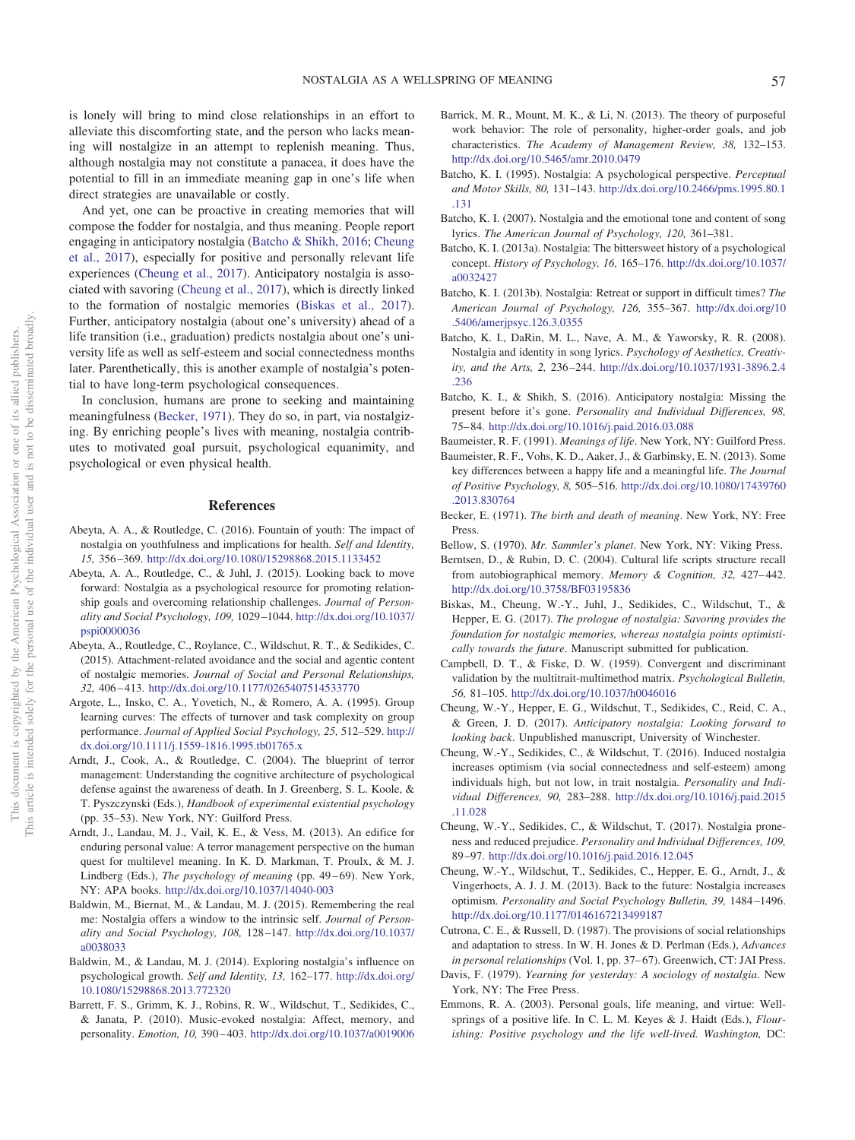is lonely will bring to mind close relationships in an effort to alleviate this discomforting state, and the person who lacks meaning will nostalgize in an attempt to replenish meaning. Thus, although nostalgia may not constitute a panacea, it does have the potential to fill in an immediate meaning gap in one's life when direct strategies are unavailable or costly.

And yet, one can be proactive in creating memories that will compose the fodder for nostalgia, and thus meaning. People report engaging in anticipatory nostalgia [\(Batcho & Shikh, 2016;](#page-9-26) [Cheung](#page-9-27) [et al., 2017\)](#page-9-27), especially for positive and personally relevant life experiences [\(Cheung et al., 2017\)](#page-9-27). Anticipatory nostalgia is associated with savoring [\(Cheung et al., 2017\)](#page-9-27), which is directly linked to the formation of nostalgic memories [\(Biskas et al., 2017\)](#page-9-28). Further, anticipatory nostalgia (about one's university) ahead of a life transition (i.e., graduation) predicts nostalgia about one's university life as well as self-esteem and social connectedness months later. Parenthetically, this is another example of nostalgia's potential to have long-term psychological consequences.

In conclusion, humans are prone to seeking and maintaining meaningfulness [\(Becker, 1971\)](#page-9-29). They do so, in part, via nostalgizing. By enriching people's lives with meaning, nostalgia contributes to motivated goal pursuit, psychological equanimity, and psychological or even physical health.

## **References**

- <span id="page-9-25"></span>Abeyta, A. A., & Routledge, C. (2016). Fountain of youth: The impact of nostalgia on youthfulness and implications for health. *Self and Identity, 15,* 356 –369. <http://dx.doi.org/10.1080/15298868.2015.1133452>
- <span id="page-9-17"></span>Abeyta, A. A., Routledge, C., & Juhl, J. (2015). Looking back to move forward: Nostalgia as a psychological resource for promoting relationship goals and overcoming relationship challenges. *Journal of Personality and Social Psychology, 109,* 1029 –1044. [http://dx.doi.org/10.1037/](http://dx.doi.org/10.1037/pspi0000036) [pspi0000036](http://dx.doi.org/10.1037/pspi0000036)
- <span id="page-9-2"></span>Abeyta, A., Routledge, C., Roylance, C., Wildschut, R. T., & Sedikides, C. (2015). Attachment-related avoidance and the social and agentic content of nostalgic memories. *Journal of Social and Personal Relationships, 32,* 406 – 413. <http://dx.doi.org/10.1177/0265407514533770>
- <span id="page-9-20"></span>Argote, L., Insko, C. A., Yovetich, N., & Romero, A. A. (1995). Group learning curves: The effects of turnover and task complexity on group performance. *Journal of Applied Social Psychology, 25,* 512–529. [http://](http://dx.doi.org/10.1111/j.1559-1816.1995.tb01765.x) [dx.doi.org/10.1111/j.1559-1816.1995.tb01765.x](http://dx.doi.org/10.1111/j.1559-1816.1995.tb01765.x)
- <span id="page-9-23"></span>Arndt, J., Cook, A., & Routledge, C. (2004). The blueprint of terror management: Understanding the cognitive architecture of psychological defense against the awareness of death. In J. Greenberg, S. L. Koole, & T. Pyszczynski (Eds.), *Handbook of experimental existential psychology* (pp. 35–53). New York, NY: Guilford Press.
- <span id="page-9-8"></span>Arndt, J., Landau, M. J., Vail, K. E., & Vess, M. (2013). An edifice for enduring personal value: A terror management perspective on the human quest for multilevel meaning. In K. D. Markman, T. Proulx, & M. J. Lindberg (Eds.), *The psychology of meaning* (pp. 49-69). New York, NY: APA books. <http://dx.doi.org/10.1037/14040-003>
- <span id="page-9-24"></span>Baldwin, M., Biernat, M., & Landau, M. J. (2015). Remembering the real me: Nostalgia offers a window to the intrinsic self. *Journal of Personality and Social Psychology, 108,* 128 –147. [http://dx.doi.org/10.1037/](http://dx.doi.org/10.1037/a0038033) [a0038033](http://dx.doi.org/10.1037/a0038033)
- <span id="page-9-16"></span>Baldwin, M., & Landau, M. J. (2014). Exploring nostalgia's influence on psychological growth. *Self and Identity, 13,* 162–177. [http://dx.doi.org/](http://dx.doi.org/10.1080/15298868.2013.772320) [10.1080/15298868.2013.772320](http://dx.doi.org/10.1080/15298868.2013.772320)
- <span id="page-9-5"></span>Barrett, F. S., Grimm, K. J., Robins, R. W., Wildschut, T., Sedikides, C., & Janata, P. (2010). Music-evoked nostalgia: Affect, memory, and personality. *Emotion, 10,* 390 – 403. <http://dx.doi.org/10.1037/a0019006>
- <span id="page-9-21"></span>Barrick, M. R., Mount, M. K., & Li, N. (2013). The theory of purposeful work behavior: The role of personality, higher-order goals, and job characteristics. *The Academy of Management Review, 38,* 132–153. <http://dx.doi.org/10.5465/amr.2010.0479>
- <span id="page-9-13"></span>Batcho, K. I. (1995). Nostalgia: A psychological perspective. *Perceptual and Motor Skills, 80,* 131–143. [http://dx.doi.org/10.2466/pms.1995.80.1](http://dx.doi.org/10.2466/pms.1995.80.1.131) [.131](http://dx.doi.org/10.2466/pms.1995.80.1.131)
- <span id="page-9-4"></span>Batcho, K. I. (2007). Nostalgia and the emotional tone and content of song lyrics. *The American Journal of Psychology, 120,* 361–381.
- <span id="page-9-0"></span>Batcho, K. I. (2013a). Nostalgia: The bittersweet history of a psychological concept. *History of Psychology, 16,* 165–176. [http://dx.doi.org/10.1037/](http://dx.doi.org/10.1037/a0032427) [a0032427](http://dx.doi.org/10.1037/a0032427)
- <span id="page-9-1"></span>Batcho, K. I. (2013b). Nostalgia: Retreat or support in difficult times? *The American Journal of Psychology, 126,* 355–367. [http://dx.doi.org/10](http://dx.doi.org/10.5406/amerjpsyc.126.3.0355) [.5406/amerjpsyc.126.3.0355](http://dx.doi.org/10.5406/amerjpsyc.126.3.0355)
- <span id="page-9-12"></span>Batcho, K. I., DaRin, M. L., Nave, A. M., & Yaworsky, R. R. (2008). Nostalgia and identity in song lyrics. *Psychology of Aesthetics, Creativity, and the Arts, 2,* 236 –244. [http://dx.doi.org/10.1037/1931-3896.2.4](http://dx.doi.org/10.1037/1931-3896.2.4.236) [.236](http://dx.doi.org/10.1037/1931-3896.2.4.236)
- <span id="page-9-26"></span>Batcho, K. I., & Shikh, S. (2016). Anticipatory nostalgia: Missing the present before it's gone. *Personality and Individual Differences, 98,* 75– 84. <http://dx.doi.org/10.1016/j.paid.2016.03.088>
- <span id="page-9-6"></span>Baumeister, R. F. (1991). *Meanings of life*. New York, NY: Guilford Press.
- <span id="page-9-7"></span>Baumeister, R. F., Vohs, K. D., Aaker, J., & Garbinsky, E. N. (2013). Some key differences between a happy life and a meaningful life. *The Journal of Positive Psychology, 8,* 505–516. [http://dx.doi.org/10.1080/17439760](http://dx.doi.org/10.1080/17439760.2013.830764) [.2013.830764](http://dx.doi.org/10.1080/17439760.2013.830764)
- <span id="page-9-29"></span>Becker, E. (1971). *The birth and death of meaning*. New York, NY: Free Press.
- <span id="page-9-22"></span>Bellow, S. (1970). *Mr. Sammler's planet*. New York, NY: Viking Press.
- <span id="page-9-3"></span>Berntsen, D., & Rubin, D. C. (2004). Cultural life scripts structure recall from autobiographical memory. *Memory & Cognition, 32, 427-442*. <http://dx.doi.org/10.3758/BF03195836>
- <span id="page-9-28"></span>Biskas, M., Cheung, W.-Y., Juhl, J., Sedikides, C., Wildschut, T., & Hepper, E. G. (2017). *The prologue of nostalgia: Savoring provides the foundation for nostalgic memories, whereas nostalgia points optimistically towards the future*. Manuscript submitted for publication.
- <span id="page-9-10"></span>Campbell, D. T., & Fiske, D. W. (1959). Convergent and discriminant validation by the multitrait-multimethod matrix. *Psychological Bulletin, 56,* 81–105. <http://dx.doi.org/10.1037/h0046016>
- <span id="page-9-27"></span>Cheung, W.-Y., Hepper, E. G., Wildschut, T., Sedikides, C., Reid, C. A., & Green, J. D. (2017). *Anticipatory nostalgia: Looking forward to looking back*. Unpublished manuscript, University of Winchester.
- <span id="page-9-14"></span>Cheung, W.-Y., Sedikides, C., & Wildschut, T. (2016). Induced nostalgia increases optimism (via social connectedness and self-esteem) among individuals high, but not low, in trait nostalgia. *Personality and Individual Differences, 90,* 283–288. [http://dx.doi.org/10.1016/j.paid.2015](http://dx.doi.org/10.1016/j.paid.2015.11.028) [.11.028](http://dx.doi.org/10.1016/j.paid.2015.11.028)
- <span id="page-9-11"></span>Cheung, W.-Y., Sedikides, C., & Wildschut, T. (2017). Nostalgia proneness and reduced prejudice. *Personality and Individual Differences, 109,* 89 –97. <http://dx.doi.org/10.1016/j.paid.2016.12.045>
- <span id="page-9-15"></span>Cheung, W.-Y., Wildschut, T., Sedikides, C., Hepper, E. G., Arndt, J., & Vingerhoets, A. J. J. M. (2013). Back to the future: Nostalgia increases optimism. *Personality and Social Psychology Bulletin, 39,* 1484 –1496. <http://dx.doi.org/10.1177/0146167213499187>
- <span id="page-9-18"></span>Cutrona, C. E., & Russell, D. (1987). The provisions of social relationships and adaptation to stress. In W. H. Jones & D. Perlman (Eds.), *Advances* in personal relationships (Vol. 1, pp. 37-67). Greenwich, CT: JAI Press.
- <span id="page-9-9"></span>Davis, F. (1979). *Yearning for yesterday: A sociology of nostalgia*. New York, NY: The Free Press.
- <span id="page-9-19"></span>Emmons, R. A. (2003). Personal goals, life meaning, and virtue: Wellsprings of a positive life. In C. L. M. Keyes & J. Haidt (Eds.), *Flourishing: Positive psychology and the life well-lived. Washington,* DC: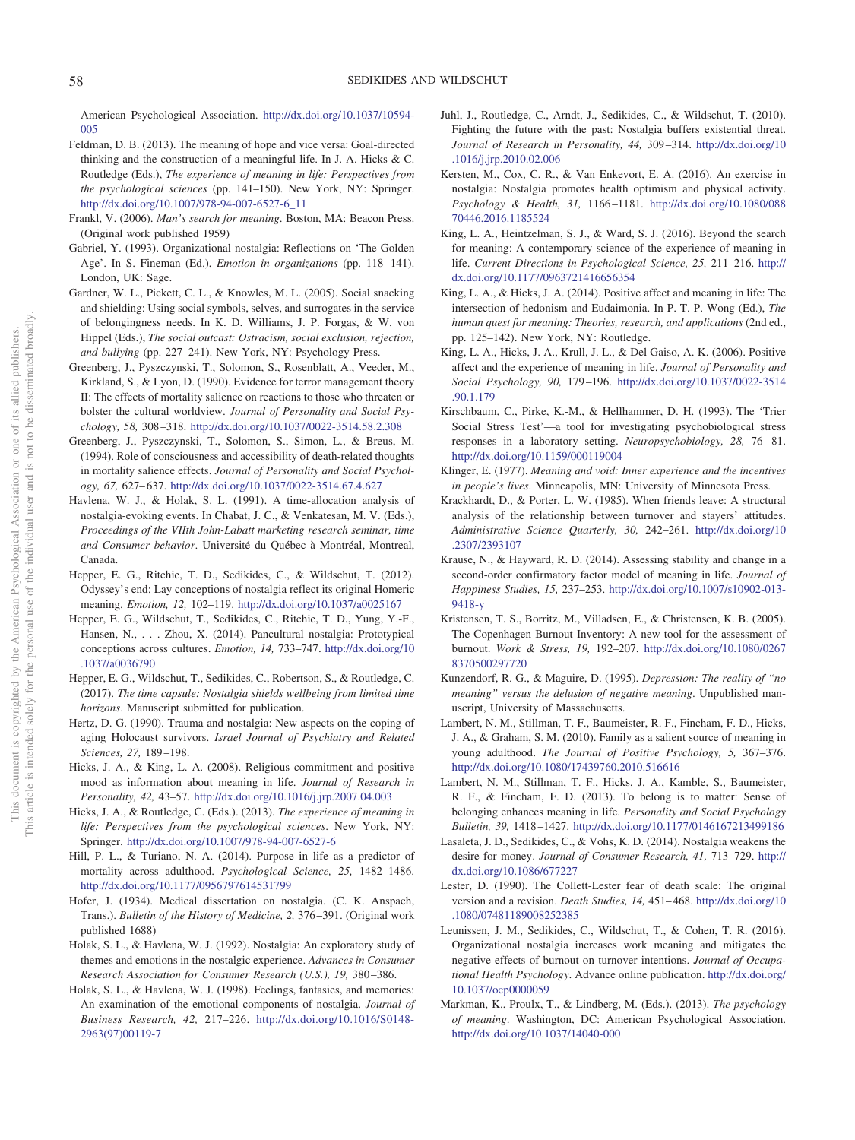American Psychological Association. [http://dx.doi.org/10.1037/10594-](http://dx.doi.org/10.1037/10594-005) [005](http://dx.doi.org/10.1037/10594-005)

- <span id="page-10-14"></span>Feldman, D. B. (2013). The meaning of hope and vice versa: Goal-directed thinking and the construction of a meaningful life. In J. A. Hicks & C. Routledge (Eds.), *The experience of meaning in life: Perspectives from the psychological sciences* (pp. 141–150). New York, NY: Springer. [http://dx.doi.org/10.1007/978-94-007-6527-6\\_11](http://dx.doi.org/10.1007/978-94-007-6527-6_11)
- <span id="page-10-7"></span>Frankl, V. (2006). *Man's search for meaning*. Boston, MA: Beacon Press. (Original work published 1959)
- <span id="page-10-13"></span>Gabriel, Y. (1993). Organizational nostalgia: Reflections on 'The Golden Age'. In S. Fineman (Ed.), *Emotion in organizations* (pp. 118-141). London, UK: Sage.
- <span id="page-10-33"></span>Gardner, W. L., Pickett, C. L., & Knowles, M. L. (2005). Social snacking and shielding: Using social symbols, selves, and surrogates in the service of belongingness needs. In K. D. Williams, J. P. Forgas, & W. von Hippel (Eds.), *The social outcast: Ostracism, social exclusion, rejection, and bullying* (pp. 227–241). New York, NY: Psychology Press.
- <span id="page-10-23"></span>Greenberg, J., Pyszczynski, T., Solomon, S., Rosenblatt, A., Veeder, M., Kirkland, S., & Lyon, D. (1990). Evidence for terror management theory II: The effects of mortality salience on reactions to those who threaten or bolster the cultural worldview. *Journal of Personality and Social Psychology, 58,* 308 –318. <http://dx.doi.org/10.1037/0022-3514.58.2.308>
- <span id="page-10-26"></span>Greenberg, J., Pyszczynski, T., Solomon, S., Simon, L., & Breus, M. (1994). Role of consciousness and accessibility of death-related thoughts in mortality salience effects. *Journal of Personality and Social Psychology, 67,* 627– 637. <http://dx.doi.org/10.1037/0022-3514.67.4.627>
- <span id="page-10-3"></span>Havlena, W. J., & Holak, S. L. (1991). A time-allocation analysis of nostalgia-evoking events. In Chabat, J. C., & Venkatesan, M. V. (Eds.), *Proceedings of the VIIth John-Labatt marketing research seminar, time and Consumer behavior*. Université du Québec a` Montréal, Montreal, Canada.
- <span id="page-10-1"></span>Hepper, E. G., Ritchie, T. D., Sedikides, C., & Wildschut, T. (2012). Odyssey's end: Lay conceptions of nostalgia reflect its original Homeric meaning. *Emotion, 12,* 102–119. <http://dx.doi.org/10.1037/a0025167>
- <span id="page-10-2"></span>Hepper, E. G., Wildschut, T., Sedikides, C., Ritchie, T. D., Yung, Y.-F., Hansen, N.,... Zhou, X. (2014). Pancultural nostalgia: Prototypical conceptions across cultures. *Emotion, 14,* 733–747. [http://dx.doi.org/10](http://dx.doi.org/10.1037/a0036790) [.1037/a0036790](http://dx.doi.org/10.1037/a0036790)
- <span id="page-10-31"></span>Hepper, E. G., Wildschut, T., Sedikides, C., Robertson, S., & Routledge, C. (2017). *The time capsule: Nostalgia shields wellbeing from limited time horizons*. Manuscript submitted for publication.
- <span id="page-10-16"></span>Hertz, D. G. (1990). Trauma and nostalgia: New aspects on the coping of aging Holocaust survivors. *Israel Journal of Psychiatry and Related Sciences, 27,* 189 –198.
- <span id="page-10-12"></span>Hicks, J. A., & King, L. A. (2008). Religious commitment and positive mood as information about meaning in life. *Journal of Research in Personality, 42,* 43–57. <http://dx.doi.org/10.1016/j.jrp.2007.04.003>
- <span id="page-10-5"></span>Hicks, J. A., & Routledge, C. (Eds.). (2013). *The experience of meaning in life: Perspectives from the psychological sciences*. New York, NY: Springer. <http://dx.doi.org/10.1007/978-94-007-6527-6>
- <span id="page-10-32"></span>Hill, P. L., & Turiano, N. A. (2014). Purpose in life as a predictor of mortality across adulthood. *Psychological Science, 25,* 1482–1486. <http://dx.doi.org/10.1177/0956797614531799>
- <span id="page-10-0"></span>Hofer, J. (1934). Medical dissertation on nostalgia. (C. K. Anspach, Trans.). *Bulletin of the History of Medicine, 2,* 376 –391. (Original work published 1688)
- <span id="page-10-17"></span>Holak, S. L., & Havlena, W. J. (1992). Nostalgia: An exploratory study of themes and emotions in the nostalgic experience. *Advances in Consumer Research Association for Consumer Research (U.S.), 19,* 380 –386.
- <span id="page-10-4"></span>Holak, S. L., & Havlena, W. J. (1998). Feelings, fantasies, and memories: An examination of the emotional components of nostalgia. *Journal of Business Research, 42,* 217–226. [http://dx.doi.org/10.1016/S0148-](http://dx.doi.org/10.1016/S0148-2963%2897%2900119-7) [2963\(97\)00119-7](http://dx.doi.org/10.1016/S0148-2963%2897%2900119-7)
- <span id="page-10-25"></span>Juhl, J., Routledge, C., Arndt, J., Sedikides, C., & Wildschut, T. (2010). Fighting the future with the past: Nostalgia buffers existential threat. *Journal of Research in Personality, 44,* 309 –314. [http://dx.doi.org/10](http://dx.doi.org/10.1016/j.jrp.2010.02.006) [.1016/j.jrp.2010.02.006](http://dx.doi.org/10.1016/j.jrp.2010.02.006)
- <span id="page-10-30"></span>Kersten, M., Cox, C. R., & Van Enkevort, E. A. (2016). An exercise in nostalgia: Nostalgia promotes health optimism and physical activity. *Psychology & Health, 31,* 1166 –1181. [http://dx.doi.org/10.1080/088](http://dx.doi.org/10.1080/08870446.2016.1185524) [70446.2016.1185524](http://dx.doi.org/10.1080/08870446.2016.1185524)
- <span id="page-10-8"></span>King, L. A., Heintzelman, S. J., & Ward, S. J. (2016). Beyond the search for meaning: A contemporary science of the experience of meaning in life. *Current Directions in Psychological Science, 25,* 211–216. [http://](http://dx.doi.org/10.1177/0963721416656354) [dx.doi.org/10.1177/0963721416656354](http://dx.doi.org/10.1177/0963721416656354)
- <span id="page-10-28"></span>King, L. A., & Hicks, J. A. (2014). Positive affect and meaning in life: The intersection of hedonism and Eudaimonia. In P. T. P. Wong (Ed.), *The human quest for meaning: Theories, research, and applications* (2nd ed., pp. 125–142). New York, NY: Routledge.
- <span id="page-10-15"></span>King, L. A., Hicks, J. A., Krull, J. L., & Del Gaiso, A. K. (2006). Positive affect and the experience of meaning in life. *Journal of Personality and Social Psychology, 90,* 179 –196. [http://dx.doi.org/10.1037/0022-3514](http://dx.doi.org/10.1037/0022-3514.90.1.179) [.90.1.179](http://dx.doi.org/10.1037/0022-3514.90.1.179)
- <span id="page-10-29"></span>Kirschbaum, C., Pirke, K.-M., & Hellhammer, D. H. (1993). The 'Trier Social Stress Test'—a tool for investigating psychobiological stress responses in a laboratory setting. *Neuropsychobiology*, 28, 76-81. <http://dx.doi.org/10.1159/000119004>
- <span id="page-10-20"></span>Klinger, E. (1977). *Meaning and void: Inner experience and the incentives in people's lives*. Minneapolis, MN: University of Minnesota Press.
- <span id="page-10-21"></span>Krackhardt, D., & Porter, L. W. (1985). When friends leave: A structural analysis of the relationship between turnover and stayers' attitudes. *Administrative Science Quarterly, 30,* 242–261. [http://dx.doi.org/10](http://dx.doi.org/10.2307/2393107) [.2307/2393107](http://dx.doi.org/10.2307/2393107)
- <span id="page-10-9"></span>Krause, N., & Hayward, R. D. (2014). Assessing stability and change in a second-order confirmatory factor model of meaning in life. *Journal of Happiness Studies, 15,* 237–253. [http://dx.doi.org/10.1007/s10902-013-](http://dx.doi.org/10.1007/s10902-013-9418-y) [9418-y](http://dx.doi.org/10.1007/s10902-013-9418-y)
- <span id="page-10-22"></span>Kristensen, T. S., Borritz, M., Villadsen, E., & Christensen, K. B. (2005). The Copenhagen Burnout Inventory: A new tool for the assessment of burnout. *Work & Stress, 19,* 192–207. [http://dx.doi.org/10.1080/0267](http://dx.doi.org/10.1080/02678370500297720) [8370500297720](http://dx.doi.org/10.1080/02678370500297720)
- <span id="page-10-24"></span>Kunzendorf, R. G., & Maguire, D. (1995). *Depression: The reality of "no meaning" versus the delusion of negative meaning*. Unpublished manuscript, University of Massachusetts.
- <span id="page-10-18"></span>Lambert, N. M., Stillman, T. F., Baumeister, R. F., Fincham, F. D., Hicks, J. A., & Graham, S. M. (2010). Family as a salient source of meaning in young adulthood. *The Journal of Positive Psychology, 5,* 367–376. <http://dx.doi.org/10.1080/17439760.2010.516616>
- <span id="page-10-19"></span>Lambert, N. M., Stillman, T. F., Hicks, J. A., Kamble, S., Baumeister, R. F., & Fincham, F. D. (2013). To belong is to matter: Sense of belonging enhances meaning in life. *Personality and Social Psychology Bulletin, 39,* 1418 –1427. <http://dx.doi.org/10.1177/0146167213499186>
- <span id="page-10-11"></span>Lasaleta, J. D., Sedikides, C., & Vohs, K. D. (2014). Nostalgia weakens the desire for money. *Journal of Consumer Research, 41,* 713–729. [http://](http://dx.doi.org/10.1086/677227) [dx.doi.org/10.1086/677227](http://dx.doi.org/10.1086/677227)
- <span id="page-10-27"></span>Lester, D. (1990). The Collett-Lester fear of death scale: The original version and a revision. *Death Studies, 14,* 451– 468. [http://dx.doi.org/10](http://dx.doi.org/10.1080/07481189008252385) [.1080/07481189008252385](http://dx.doi.org/10.1080/07481189008252385)
- <span id="page-10-10"></span>Leunissen, J. M., Sedikides, C., Wildschut, T., & Cohen, T. R. (2016). Organizational nostalgia increases work meaning and mitigates the negative effects of burnout on turnover intentions. *Journal of Occupational Health Psychology*. Advance online publication. [http://dx.doi.org/](http://dx.doi.org/10.1037/ocp0000059) [10.1037/ocp0000059](http://dx.doi.org/10.1037/ocp0000059)
- <span id="page-10-6"></span>Markman, K., Proulx, T., & Lindberg, M. (Eds.). (2013). *The psychology of meaning*. Washington, DC: American Psychological Association. <http://dx.doi.org/10.1037/14040-000>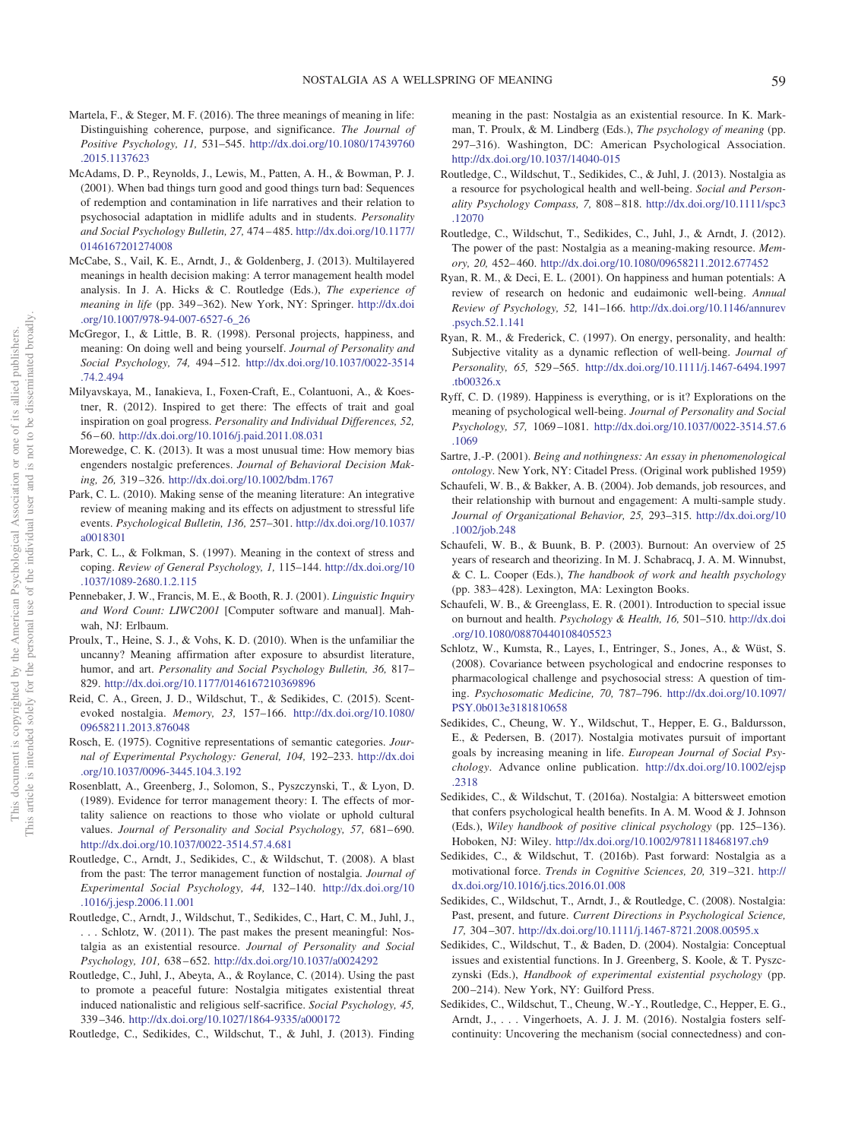- <span id="page-11-30"></span>Martela, F., & Steger, M. F. (2016). The three meanings of meaning in life: Distinguishing coherence, purpose, and significance. *The Journal of Positive Psychology, 11,* 531–545. [http://dx.doi.org/10.1080/17439760](http://dx.doi.org/10.1080/17439760.2015.1137623) [.2015.1137623](http://dx.doi.org/10.1080/17439760.2015.1137623)
- <span id="page-11-7"></span>McAdams, D. P., Reynolds, J., Lewis, M., Patten, A. H., & Bowman, P. J. (2001). When bad things turn good and good things turn bad: Sequences of redemption and contamination in life narratives and their relation to psychosocial adaptation in midlife adults and in students. *Personality and Social Psychology Bulletin, 27,* 474 – 485. [http://dx.doi.org/10.1177/](http://dx.doi.org/10.1177/0146167201274008) [0146167201274008](http://dx.doi.org/10.1177/0146167201274008)
- <span id="page-11-32"></span>McCabe, S., Vail, K. E., Arndt, J., & Goldenberg, J. (2013). Multilayered meanings in health decision making: A terror management health model analysis. In J. A. Hicks & C. Routledge (Eds.), *The experience of meaning in life* (pp. 349 –362). New York, NY: Springer. [http://dx.doi](http://dx.doi.org/10.1007/978-94-007-6527-6_26) [.org/10.1007/978-94-007-6527-6\\_26](http://dx.doi.org/10.1007/978-94-007-6527-6_26)
- <span id="page-11-11"></span>McGregor, I., & Little, B. R. (1998). Personal projects, happiness, and meaning: On doing well and being yourself. *Journal of Personality and Social Psychology, 74,* 494 –512. [http://dx.doi.org/10.1037/0022-3514](http://dx.doi.org/10.1037/0022-3514.74.2.494) [.74.2.494](http://dx.doi.org/10.1037/0022-3514.74.2.494)
- <span id="page-11-15"></span>Milyavskaya, M., Ianakieva, I., Foxen-Craft, E., Colantuoni, A., & Koestner, R. (2012). Inspired to get there: The effects of trait and goal inspiration on goal progress. *Personality and Individual Differences, 52,* 56 – 60. <http://dx.doi.org/10.1016/j.paid.2011.08.031>
- <span id="page-11-3"></span>Morewedge, C. K. (2013). It was a most unusual time: How memory bias engenders nostalgic preferences. *Journal of Behavioral Decision Making, 26,* 319 –326. <http://dx.doi.org/10.1002/bdm.1767>
- <span id="page-11-8"></span>Park, C. L. (2010). Making sense of the meaning literature: An integrative review of meaning making and its effects on adjustment to stressful life events. *Psychological Bulletin, 136,* 257–301. [http://dx.doi.org/10.1037/](http://dx.doi.org/10.1037/a0018301) [a0018301](http://dx.doi.org/10.1037/a0018301)
- <span id="page-11-28"></span>Park, C. L., & Folkman, S. (1997). Meaning in the context of stress and coping. *Review of General Psychology, 1,* 115–144. [http://dx.doi.org/10](http://dx.doi.org/10.1037/1089-2680.1.2.115) [.1037/1089-2680.1.2.115](http://dx.doi.org/10.1037/1089-2680.1.2.115)
- <span id="page-11-16"></span>Pennebaker, J. W., Francis, M. E., & Booth, R. J. (2001). *Linguistic Inquiry and Word Count: LIWC2001* [Computer software and manual]. Mahwah, NJ: Erlbaum.
- <span id="page-11-21"></span>Proulx, T., Heine, S. J., & Vohs, K. D. (2010). When is the unfamiliar the uncanny? Meaning affirmation after exposure to absurdist literature, humor, and art. *Personality and Social Psychology Bulletin, 36,* 817– 829. <http://dx.doi.org/10.1177/0146167210369896>
- <span id="page-11-5"></span>Reid, C. A., Green, J. D., Wildschut, T., & Sedikides, C. (2015). Scentevoked nostalgia. *Memory, 23,* 157–166. [http://dx.doi.org/10.1080/](http://dx.doi.org/10.1080/09658211.2013.876048) [09658211.2013.876048](http://dx.doi.org/10.1080/09658211.2013.876048)
- <span id="page-11-2"></span>Rosch, E. (1975). Cognitive representations of semantic categories. *Journal of Experimental Psychology: General, 104,* 192–233. [http://dx.doi](http://dx.doi.org/10.1037/0096-3445.104.3.192) [.org/10.1037/0096-3445.104.3.192](http://dx.doi.org/10.1037/0096-3445.104.3.192)
- <span id="page-11-23"></span>Rosenblatt, A., Greenberg, J., Solomon, S., Pyszczynski, T., & Lyon, D. (1989). Evidence for terror management theory: I. The effects of mortality salience on reactions to those who violate or uphold cultural values. *Journal of Personality and Social Psychology, 57, 681-690*. <http://dx.doi.org/10.1037/0022-3514.57.4.681>
- <span id="page-11-22"></span>Routledge, C., Arndt, J., Sedikides, C., & Wildschut, T. (2008). A blast from the past: The terror management function of nostalgia. *Journal of Experimental Social Psychology, 44,* 132–140. [http://dx.doi.org/10](http://dx.doi.org/10.1016/j.jesp.2006.11.001) [.1016/j.jesp.2006.11.001](http://dx.doi.org/10.1016/j.jesp.2006.11.001)
- <span id="page-11-10"></span>Routledge, C., Arndt, J., Wildschut, T., Sedikides, C., Hart, C. M., Juhl, J., . . . Schlotz, W. (2011). The past makes the present meaningful: Nostalgia as an existential resource. *Journal of Personality and Social Psychology, 101,* 638 – 652. <http://dx.doi.org/10.1037/a0024292>
- <span id="page-11-24"></span>Routledge, C., Juhl, J., Abeyta, A., & Roylance, C. (2014). Using the past to promote a peaceful future: Nostalgia mitigates existential threat induced nationalistic and religious self-sacrifice. *Social Psychology, 45,* 339 –346. <http://dx.doi.org/10.1027/1864-9335/a000172>
- <span id="page-11-20"></span>Routledge, C., Sedikides, C., Wildschut, T., & Juhl, J. (2013). Finding

meaning in the past: Nostalgia as an existential resource. In K. Markman, T. Proulx, & M. Lindberg (Eds.), *The psychology of meaning* (pp. 297–316). Washington, DC: American Psychological Association. <http://dx.doi.org/10.1037/14040-015>

- <span id="page-11-31"></span>Routledge, C., Wildschut, T., Sedikides, C., & Juhl, J. (2013). Nostalgia as a resource for psychological health and well-being. *Social and Personality Psychology Compass, 7,* 808 – 818. [http://dx.doi.org/10.1111/spc3](http://dx.doi.org/10.1111/spc3.12070) [.12070](http://dx.doi.org/10.1111/spc3.12070)
- <span id="page-11-14"></span>Routledge, C., Wildschut, T., Sedikides, C., Juhl, J., & Arndt, J. (2012). The power of the past: Nostalgia as a meaning-making resource. *Memory, 20,* 452– 460. <http://dx.doi.org/10.1080/09658211.2012.677452>
- <span id="page-11-25"></span>Ryan, R. M., & Deci, E. L. (2001). On happiness and human potentials: A review of research on hedonic and eudaimonic well-being. *Annual Review of Psychology, 52,* 141–166. [http://dx.doi.org/10.1146/annurev](http://dx.doi.org/10.1146/annurev.psych.52.1.141) [.psych.52.1.141](http://dx.doi.org/10.1146/annurev.psych.52.1.141)
- <span id="page-11-27"></span>Ryan, R. M., & Frederick, C. (1997). On energy, personality, and health: Subjective vitality as a dynamic reflection of well-being. *Journal of Personality, 65,* 529 –565. [http://dx.doi.org/10.1111/j.1467-6494.1997](http://dx.doi.org/10.1111/j.1467-6494.1997.tb00326.x) [.tb00326.x](http://dx.doi.org/10.1111/j.1467-6494.1997.tb00326.x)
- <span id="page-11-26"></span>Ryff, C. D. (1989). Happiness is everything, or is it? Explorations on the meaning of psychological well-being. *Journal of Personality and Social Psychology, 57,* 1069 –1081. [http://dx.doi.org/10.1037/0022-3514.57.6](http://dx.doi.org/10.1037/0022-3514.57.6.1069) [.1069](http://dx.doi.org/10.1037/0022-3514.57.6.1069)
- <span id="page-11-9"></span>Sartre, J.-P. (2001). *Being and nothingness: An essay in phenomenological ontology*. New York, NY: Citadel Press. (Original work published 1959)
- <span id="page-11-19"></span>Schaufeli, W. B., & Bakker, A. B. (2004). Job demands, job resources, and their relationship with burnout and engagement: A multi-sample study. *Journal of Organizational Behavior, 25,* 293–315. [http://dx.doi.org/10](http://dx.doi.org/10.1002/job.248) [.1002/job.248](http://dx.doi.org/10.1002/job.248)
- <span id="page-11-18"></span>Schaufeli, W. B., & Buunk, B. P. (2003). Burnout: An overview of 25 years of research and theorizing. In M. J. Schabracq, J. A. M. Winnubst, & C. L. Cooper (Eds.), *The handbook of work and health psychology* (pp. 383– 428). Lexington, MA: Lexington Books.
- <span id="page-11-17"></span>Schaufeli, W. B., & Greenglass, E. R. (2001). Introduction to special issue on burnout and health. *Psychology & Health, 16,* 501–510. [http://dx.doi](http://dx.doi.org/10.1080/08870440108405523) [.org/10.1080/08870440108405523](http://dx.doi.org/10.1080/08870440108405523)
- <span id="page-11-29"></span>Schlotz, W., Kumsta, R., Layes, I., Entringer, S., Jones, A., & Wüst, S. (2008). Covariance between psychological and endocrine responses to pharmacological challenge and psychosocial stress: A question of timing. *Psychosomatic Medicine, 70,* 787–796. [http://dx.doi.org/10.1097/](http://dx.doi.org/10.1097/PSY.0b013e3181810658) [PSY.0b013e3181810658](http://dx.doi.org/10.1097/PSY.0b013e3181810658)
- <span id="page-11-13"></span>Sedikides, C., Cheung, W. Y., Wildschut, T., Hepper, E. G., Baldursson, E., & Pedersen, B. (2017). Nostalgia motivates pursuit of important goals by increasing meaning in life. *European Journal of Social Psychology*. Advance online publication. [http://dx.doi.org/10.1002/ejsp](http://dx.doi.org/10.1002/ejsp.2318) [.2318](http://dx.doi.org/10.1002/ejsp.2318)
- <span id="page-11-4"></span>Sedikides, C., & Wildschut, T. (2016a). Nostalgia: A bittersweet emotion that confers psychological health benefits. In A. M. Wood & J. Johnson (Eds.), *Wiley handbook of positive clinical psychology* (pp. 125–136). Hoboken, NJ: Wiley. <http://dx.doi.org/10.1002/9781118468197.ch9>
- <span id="page-11-6"></span>Sedikides, C., & Wildschut, T. (2016b). Past forward: Nostalgia as a motivational force. *Trends in Cognitive Sciences, 20,* 319 –321. [http://](http://dx.doi.org/10.1016/j.tics.2016.01.008) [dx.doi.org/10.1016/j.tics.2016.01.008](http://dx.doi.org/10.1016/j.tics.2016.01.008)
- <span id="page-11-1"></span>Sedikides, C., Wildschut, T., Arndt, J., & Routledge, C. (2008). Nostalgia: Past, present, and future. *Current Directions in Psychological Science, 17,* 304 –307. <http://dx.doi.org/10.1111/j.1467-8721.2008.00595.x>
- <span id="page-11-0"></span>Sedikides, C., Wildschut, T., & Baden, D. (2004). Nostalgia: Conceptual issues and existential functions. In J. Greenberg, S. Koole, & T. Pyszczynski (Eds.), *Handbook of experimental existential psychology* (pp. 200 –214). New York, NY: Guilford Press.
- <span id="page-11-12"></span>Sedikides, C., Wildschut, T., Cheung, W.-Y., Routledge, C., Hepper, E. G., Arndt, J.,... Vingerhoets, A. J. J. M. (2016). Nostalgia fosters selfcontinuity: Uncovering the mechanism (social connectedness) and con-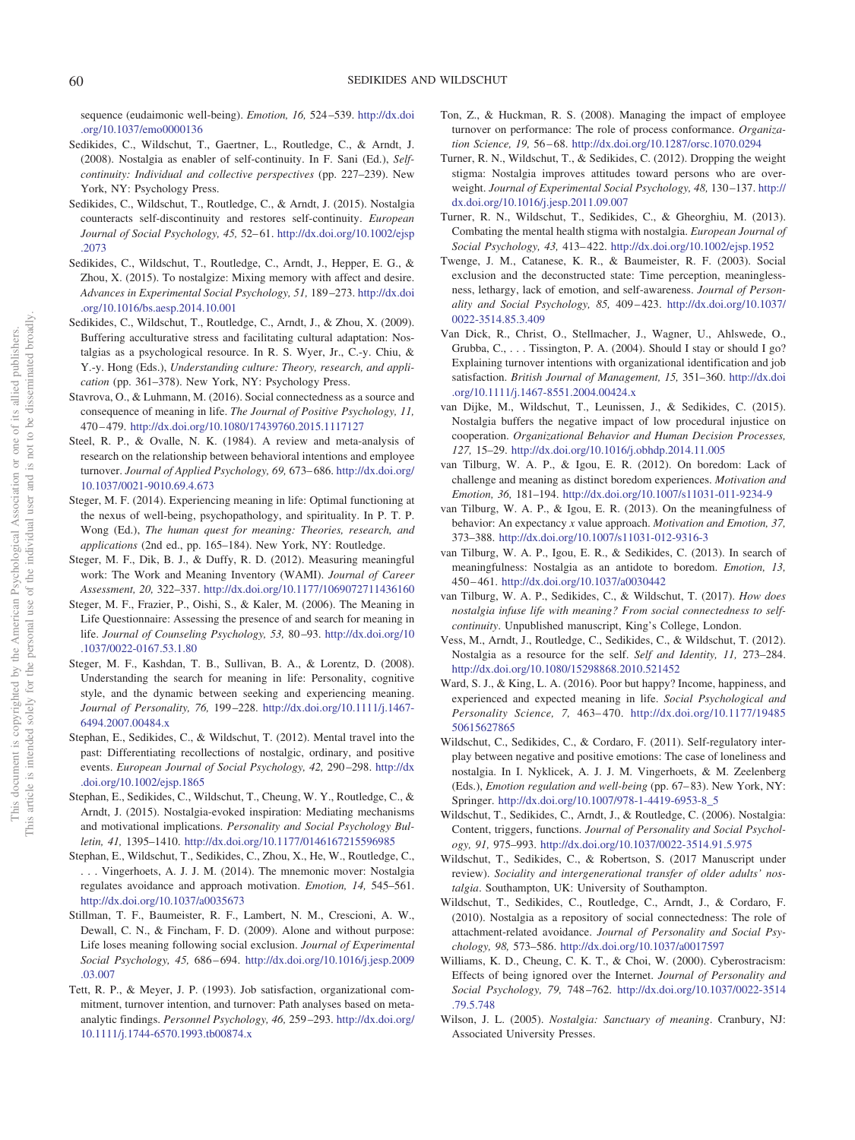sequence (eudaimonic well-being). *Emotion, 16,* 524 –539. [http://dx.doi](http://dx.doi.org/10.1037/emo0000136) [.org/10.1037/emo0000136](http://dx.doi.org/10.1037/emo0000136)

- <span id="page-12-19"></span>Sedikides, C., Wildschut, T., Gaertner, L., Routledge, C., & Arndt, J. (2008). Nostalgia as enabler of self-continuity. In F. Sani (Ed.), *Selfcontinuity: Individual and collective perspectives* (pp. 227–239). New York, NY: Psychology Press.
- <span id="page-12-20"></span>Sedikides, C., Wildschut, T., Routledge, C., & Arndt, J. (2015). Nostalgia counteracts self-discontinuity and restores self-continuity. *European Journal of Social Psychology, 45,* 52– 61. [http://dx.doi.org/10.1002/ejsp](http://dx.doi.org/10.1002/ejsp.2073) [.2073](http://dx.doi.org/10.1002/ejsp.2073)
- <span id="page-12-0"></span>Sedikides, C., Wildschut, T., Routledge, C., Arndt, J., Hepper, E. G., & Zhou, X. (2015). To nostalgize: Mixing memory with affect and desire. *Advances in Experimental Social Psychology, 51,* 189 –273. [http://dx.doi](http://dx.doi.org/10.1016/bs.aesp.2014.10.001) [.org/10.1016/bs.aesp.2014.10.001](http://dx.doi.org/10.1016/bs.aesp.2014.10.001)
- <span id="page-12-1"></span>Sedikides, C., Wildschut, T., Routledge, C., Arndt, J., & Zhou, X. (2009). Buffering acculturative stress and facilitating cultural adaptation: Nostalgias as a psychological resource. In R. S. Wyer, Jr., C.-y. Chiu, & Y.-y. Hong (Eds.), *Understanding culture: Theory, research, and application* (pp. 361–378). New York, NY: Psychology Press.
- <span id="page-12-15"></span>Stavrova, O., & Luhmann, M. (2016). Social connectedness as a source and consequence of meaning in life. *The Journal of Positive Psychology, 11,* 470 – 479. <http://dx.doi.org/10.1080/17439760.2015.1117127>
- <span id="page-12-23"></span>Steel, R. P., & Ovalle, N. K. (1984). A review and meta-analysis of research on the relationship between behavioral intentions and employee turnover. *Journal of Applied Psychology, 69,* 673– 686. [http://dx.doi.org/](http://dx.doi.org/10.1037/0021-9010.69.4.673) [10.1037/0021-9010.69.4.673](http://dx.doi.org/10.1037/0021-9010.69.4.673)
- <span id="page-12-29"></span>Steger, M. F. (2014). Experiencing meaning in life: Optimal functioning at the nexus of well-being, psychopathology, and spirituality. In P. T. P. Wong (Ed.), *The human quest for meaning: Theories, research, and applications* (2nd ed., pp. 165–184). New York, NY: Routledge.
- <span id="page-12-9"></span>Steger, M. F., Dik, B. J., & Duffy, R. D. (2012). Measuring meaningful work: The Work and Meaning Inventory (WAMI). *Journal of Career Assessment, 20,* 322–337. <http://dx.doi.org/10.1177/1069072711436160>
- <span id="page-12-8"></span>Steger, M. F., Frazier, P., Oishi, S., & Kaler, M. (2006). The Meaning in Life Questionnaire: Assessing the presence of and search for meaning in life. *Journal of Counseling Psychology, 53,* 80 –93. [http://dx.doi.org/10](http://dx.doi.org/10.1037/0022-0167.53.1.80) [.1037/0022-0167.53.1.80](http://dx.doi.org/10.1037/0022-0167.53.1.80)
- <span id="page-12-6"></span>Steger, M. F., Kashdan, T. B., Sullivan, B. A., & Lorentz, D. (2008). Understanding the search for meaning in life: Personality, cognitive style, and the dynamic between seeking and experiencing meaning. *Journal of Personality, 76,* 199 –228. [http://dx.doi.org/10.1111/j.1467-](http://dx.doi.org/10.1111/j.1467-6494.2007.00484.x) [6494.2007.00484.x](http://dx.doi.org/10.1111/j.1467-6494.2007.00484.x)
- <span id="page-12-4"></span>Stephan, E., Sedikides, C., & Wildschut, T. (2012). Mental travel into the past: Differentiating recollections of nostalgic, ordinary, and positive events. *European Journal of Social Psychology, 42,* 290 –298. [http://dx](http://dx.doi.org/10.1002/ejsp.1865) [.doi.org/10.1002/ejsp.1865](http://dx.doi.org/10.1002/ejsp.1865)
- <span id="page-12-22"></span>Stephan, E., Sedikides, C., Wildschut, T., Cheung, W. Y., Routledge, C., & Arndt, J. (2015). Nostalgia-evoked inspiration: Mediating mechanisms and motivational implications. *Personality and Social Psychology Bulletin, 41,* 1395–1410. <http://dx.doi.org/10.1177/0146167215596985>
- <span id="page-12-5"></span>Stephan, E., Wildschut, T., Sedikides, C., Zhou, X., He, W., Routledge, C., . . . Vingerhoets, A. J. J. M. (2014). The mnemonic mover: Nostalgia regulates avoidance and approach motivation. *Emotion, 14,* 545–561. <http://dx.doi.org/10.1037/a0035673>
- <span id="page-12-17"></span>Stillman, T. F., Baumeister, R. F., Lambert, N. M., Crescioni, A. W., Dewall, C. N., & Fincham, F. D. (2009). Alone and without purpose: Life loses meaning following social exclusion. *Journal of Experimental Social Psychology, 45,* 686 – 694. [http://dx.doi.org/10.1016/j.jesp.2009](http://dx.doi.org/10.1016/j.jesp.2009.03.007) [.03.007](http://dx.doi.org/10.1016/j.jesp.2009.03.007)
- <span id="page-12-24"></span>Tett, R. P., & Meyer, J. P. (1993). Job satisfaction, organizational commitment, turnover intention, and turnover: Path analyses based on metaanalytic findings. *Personnel Psychology, 46,* 259 –293. [http://dx.doi.org/](http://dx.doi.org/10.1111/j.1744-6570.1993.tb00874.x) [10.1111/j.1744-6570.1993.tb00874.x](http://dx.doi.org/10.1111/j.1744-6570.1993.tb00874.x)
- <span id="page-12-25"></span>Ton, Z., & Huckman, R. S. (2008). Managing the impact of employee turnover on performance: The role of process conformance. *Organization Science, 19,* 56 – 68. <http://dx.doi.org/10.1287/orsc.1070.0294>
- <span id="page-12-13"></span>Turner, R. N., Wildschut, T., & Sedikides, C. (2012). Dropping the weight stigma: Nostalgia improves attitudes toward persons who are overweight. Journal of Experimental Social Psychology, 48, 130-137. [http://](http://dx.doi.org/10.1016/j.jesp.2011.09.007) [dx.doi.org/10.1016/j.jesp.2011.09.007](http://dx.doi.org/10.1016/j.jesp.2011.09.007)
- <span id="page-12-14"></span>Turner, R. N., Wildschut, T., Sedikides, C., & Gheorghiu, M. (2013). Combating the mental health stigma with nostalgia. *European Journal of Social Psychology, 43,* 413– 422. <http://dx.doi.org/10.1002/ejsp.1952>
- <span id="page-12-16"></span>Twenge, J. M., Catanese, K. R., & Baumeister, R. F. (2003). Social exclusion and the deconstructed state: Time perception, meaninglessness, lethargy, lack of emotion, and self-awareness. *Journal of Personality and Social Psychology, 85,* 409 – 423. [http://dx.doi.org/10.1037/](http://dx.doi.org/10.1037/0022-3514.85.3.409) [0022-3514.85.3.409](http://dx.doi.org/10.1037/0022-3514.85.3.409)
- <span id="page-12-26"></span>Van Dick, R., Christ, O., Stellmacher, J., Wagner, U., Ahlswede, O., Grubba, C.,... Tissington, P. A. (2004). Should I stay or should I go? Explaining turnover intentions with organizational identification and job satisfaction. *British Journal of Management, 15,* 351–360. [http://dx.doi](http://dx.doi.org/10.1111/j.1467-8551.2004.00424.x) [.org/10.1111/j.1467-8551.2004.00424.x](http://dx.doi.org/10.1111/j.1467-8551.2004.00424.x)
- <span id="page-12-28"></span>van Dijke, M., Wildschut, T., Leunissen, J., & Sedikides, C. (2015). Nostalgia buffers the negative impact of low procedural injustice on cooperation. *Organizational Behavior and Human Decision Processes, 127,* 15–29. <http://dx.doi.org/10.1016/j.obhdp.2014.11.005>
- <span id="page-12-30"></span>van Tilburg, W. A. P., & Igou, E. R. (2012). On boredom: Lack of challenge and meaning as distinct boredom experiences. *Motivation and Emotion, 36,* 181–194. <http://dx.doi.org/10.1007/s11031-011-9234-9>
- <span id="page-12-32"></span>van Tilburg, W. A. P., & Igou, E. R. (2013). On the meaningfulness of behavior: An expectancy *x* value approach. *Motivation and Emotion, 37,* 373–388. <http://dx.doi.org/10.1007/s11031-012-9316-3>
- <span id="page-12-31"></span>van Tilburg, W. A. P., Igou, E. R., & Sedikides, C. (2013). In search of meaningfulness: Nostalgia as an antidote to boredom. *Emotion, 13,* 450 – 461. <http://dx.doi.org/10.1037/a0030442>
- <span id="page-12-21"></span>van Tilburg, W. A. P., Sedikides, C., & Wildschut, T. (2017). *How does nostalgia infuse life with meaning? From social connectedness to selfcontinuity*. Unpublished manuscript, King's College, London.
- <span id="page-12-27"></span>Vess, M., Arndt, J., Routledge, C., Sedikides, C., & Wildschut, T. (2012). Nostalgia as a resource for the self. *Self and Identity, 11,* 273–284. <http://dx.doi.org/10.1080/15298868.2010.521452>
- <span id="page-12-11"></span>Ward, S. J., & King, L. A. (2016). Poor but happy? Income, happiness, and experienced and expected meaning in life. *Social Psychological and Personality Science, 7,* 463– 470. [http://dx.doi.org/10.1177/19485](http://dx.doi.org/10.1177/1948550615627865) [50615627865](http://dx.doi.org/10.1177/1948550615627865)
- <span id="page-12-2"></span>Wildschut, C., Sedikides, C., & Cordaro, F. (2011). Self-regulatory interplay between negative and positive emotions: The case of loneliness and nostalgia. In I. Nyklicek, A. J. J. M. Vingerhoets, & M. Zeelenberg (Eds.), *Emotion regulation and well-being* (pp. 67– 83). New York, NY: Springer. [http://dx.doi.org/10.1007/978-1-4419-6953-8\\_5](http://dx.doi.org/10.1007/978-1-4419-6953-8_5)
- <span id="page-12-3"></span>Wildschut, T., Sedikides, C., Arndt, J., & Routledge, C. (2006). Nostalgia: Content, triggers, functions. *Journal of Personality and Social Psychology, 91,* 975–993. <http://dx.doi.org/10.1037/0022-3514.91.5.975>
- <span id="page-12-12"></span>Wildschut, T., Sedikides, C., & Robertson, S. (2017 Manuscript under review). *Sociality and intergenerational transfer of older adults' nostalgia*. Southampton, UK: University of Southampton.
- <span id="page-12-10"></span>Wildschut, T., Sedikides, C., Routledge, C., Arndt, J., & Cordaro, F. (2010). Nostalgia as a repository of social connectedness: The role of attachment-related avoidance. *Journal of Personality and Social Psychology, 98,* 573–586. <http://dx.doi.org/10.1037/a0017597>
- <span id="page-12-18"></span>Williams, K. D., Cheung, C. K. T., & Choi, W. (2000). Cyberostracism: Effects of being ignored over the Internet. *Journal of Personality and Social Psychology, 79,* 748 –762. [http://dx.doi.org/10.1037/0022-3514](http://dx.doi.org/10.1037/0022-3514.79.5.748) [.79.5.748](http://dx.doi.org/10.1037/0022-3514.79.5.748)
- <span id="page-12-7"></span>Wilson, J. L. (2005). *Nostalgia: Sanctuary of meaning*. Cranbury, NJ: Associated University Presses.